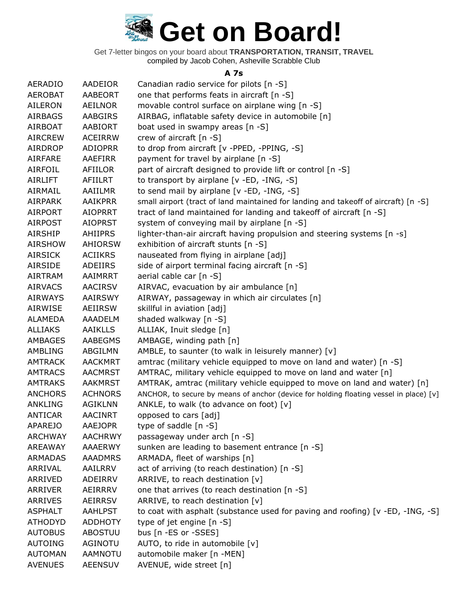

Get 7-letter bingos on your board about **TRANSPORTATION, TRANSIT, TRAVEL** compiled by Jacob Cohen, Asheville Scrabble Club

#### **A 7s**

| <b>AERADIO</b> | AADEIOR        | Canadian radio service for pilots [n -S]                                               |
|----------------|----------------|----------------------------------------------------------------------------------------|
| <b>AEROBAT</b> | AABEORT        | one that performs feats in aircraft [n -S]                                             |
| <b>AILERON</b> | AEILNOR        | movable control surface on airplane wing [n -S]                                        |
| <b>AIRBAGS</b> | AABGIRS        | AIRBAG, inflatable safety device in automobile [n]                                     |
| <b>AIRBOAT</b> | AABIORT        | boat used in swampy areas [n -S]                                                       |
| <b>AIRCREW</b> | <b>ACEIRRW</b> | crew of aircraft [n -S]                                                                |
| <b>AIRDROP</b> | <b>ADIOPRR</b> | to drop from aircraft [v -PPED, -PPING, -S]                                            |
| AIRFARE        | AAEFIRR        | payment for travel by airplane [n -S]                                                  |
| <b>AIRFOIL</b> | AFIILOR        | part of aircraft designed to provide lift or control [n -S]                            |
| <b>AIRLIFT</b> | <b>AFIILRT</b> | to transport by airplane [v -ED, -ING, -S]                                             |
| AIRMAIL        | AAIILMR        | to send mail by airplane [v -ED, -ING, -S]                                             |
| <b>AIRPARK</b> | AAIKPRR        | small airport (tract of land maintained for landing and takeoff of aircraft) [n -S]    |
| <b>AIRPORT</b> | <b>AIOPRRT</b> | tract of land maintained for landing and takeoff of aircraft [n -S]                    |
| <b>AIRPOST</b> | <b>AIOPRST</b> | system of conveying mail by airplane [n -S]                                            |
| <b>AIRSHIP</b> | <b>AHIIPRS</b> | lighter-than-air aircraft having propulsion and steering systems [n -s]                |
| <b>AIRSHOW</b> | AHIORSW        | exhibition of aircraft stunts [n -S]                                                   |
| <b>AIRSICK</b> | <b>ACIIKRS</b> | nauseated from flying in airplane [adj]                                                |
| <b>AIRSIDE</b> | ADEIIRS        | side of airport terminal facing aircraft [n -S]                                        |
| <b>AIRTRAM</b> | AAIMRRT        | aerial cable car [n -S]                                                                |
| <b>AIRVACS</b> | <b>AACIRSV</b> | AIRVAC, evacuation by air ambulance [n]                                                |
| <b>AIRWAYS</b> | <b>AAIRSWY</b> | AIRWAY, passageway in which air circulates [n]                                         |
| AIRWISE        | AEIIRSW        | skillful in aviation [adj]                                                             |
| <b>ALAMEDA</b> | AAADELM        | shaded walkway [n -S]                                                                  |
| <b>ALLIAKS</b> | <b>AAIKLLS</b> | ALLIAK, Inuit sledge [n]                                                               |
| AMBAGES        | AABEGMS        | AMBAGE, winding path [n]                                                               |
| <b>AMBLING</b> | ABGILMN        | AMBLE, to saunter (to walk in leisurely manner) $[v]$                                  |
| <b>AMTRACK</b> | <b>AACKMRT</b> | amtrac (military vehicle equipped to move on land and water) [n -S]                    |
| <b>AMTRACS</b> | <b>AACMRST</b> | AMTRAC, military vehicle equipped to move on land and water [n]                        |
| <b>AMTRAKS</b> | <b>AAKMRST</b> | AMTRAK, amtrac (military vehicle equipped to move on land and water) [n]               |
| <b>ANCHORS</b> | <b>ACHNORS</b> | ANCHOR, to secure by means of anchor (device for holding floating vessel in place) [v] |
| <b>ANKLING</b> | <b>AGIKLNN</b> | ANKLE, to walk (to advance on foot) [v]                                                |
| <b>ANTICAR</b> | <b>AACINRT</b> | opposed to cars [adj]                                                                  |
| <b>APAREJO</b> | <b>AAEJOPR</b> | type of saddle [n -S]                                                                  |
| <b>ARCHWAY</b> | <b>AACHRWY</b> | passageway under arch [n -S]                                                           |
| <b>AREAWAY</b> | AAAERWY        | sunken are leading to basement entrance [n -S]                                         |
| <b>ARMADAS</b> | <b>AAADMRS</b> | ARMADA, fleet of warships [n]                                                          |
| ARRIVAL        | AAILRRV        | act of arriving (to reach destination) [n -S]                                          |
| ARRIVED        | ADEIRRV        | ARRIVE, to reach destination [v]                                                       |
| <b>ARRIVER</b> | AEIRRRV        | one that arrives (to reach destination [n -S]                                          |
| <b>ARRIVES</b> | AEIRRSV        | ARRIVE, to reach destination [v]                                                       |
| <b>ASPHALT</b> | <b>AAHLPST</b> | to coat with asphalt (substance used for paving and roofing) [v -ED, -ING, -S]         |
| <b>ATHODYD</b> | <b>ADDHOTY</b> | type of jet engine [n -S]                                                              |
| <b>AUTOBUS</b> | <b>ABOSTUU</b> | bus [n -ES or -SSES]                                                                   |
| <b>AUTOING</b> | AGINOTU        | AUTO, to ride in automobile [v]                                                        |
| <b>AUTOMAN</b> | AAMNOTU        | automobile maker [n -MEN]                                                              |
| <b>AVENUES</b> | <b>AEENSUV</b> | AVENUE, wide street [n]                                                                |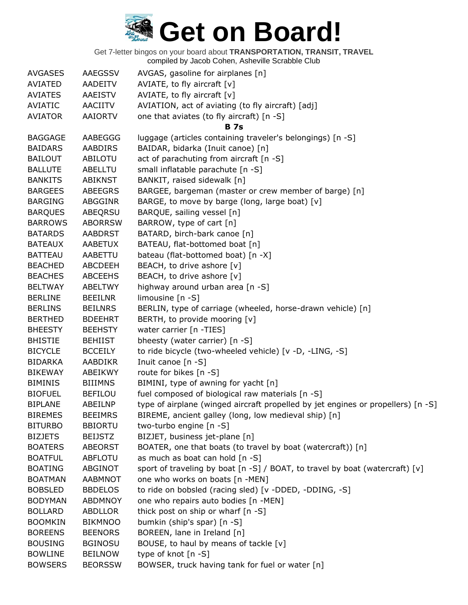| <b>AVGASES</b> | AAEGSSV        | AVGAS, gasoline for airplanes [n]                                                |
|----------------|----------------|----------------------------------------------------------------------------------|
| AVIATED        | AADEITV        | AVIATE, to fly aircraft $[v]$                                                    |
| <b>AVIATES</b> | AAEISTV        | AVIATE, to fly aircraft $[v]$                                                    |
| AVIATIC        | AACIITV        | AVIATION, act of aviating (to fly aircraft) [adj]                                |
| <b>AVIATOR</b> | AAIORTV        | one that aviates (to fly aircraft) [n -S]                                        |
|                |                | <b>B</b> 7s                                                                      |
| <b>BAGGAGE</b> | AABEGGG        | luggage (articles containing traveler's belongings) [n -S]                       |
| <b>BAIDARS</b> | AABDIRS        | BAIDAR, bidarka (Inuit canoe) [n]                                                |
| <b>BAILOUT</b> | ABILOTU        | act of parachuting from aircraft [n -S]                                          |
| <b>BALLUTE</b> | ABELLTU        | small inflatable parachute [n -S]                                                |
| <b>BANKITS</b> | ABIKNST        | BANKIT, raised sidewalk [n]                                                      |
| <b>BARGEES</b> | ABEEGRS        | BARGEE, bargeman (master or crew member of barge) [n]                            |
| <b>BARGING</b> | ABGGINR        | BARGE, to move by barge (long, large boat) [v]                                   |
| <b>BARQUES</b> | ABEQRSU        | BARQUE, sailing vessel [n]                                                       |
| <b>BARROWS</b> | <b>ABORRSW</b> | BARROW, type of cart [n]                                                         |
| <b>BATARDS</b> | <b>AABDRST</b> | BATARD, birch-bark canoe [n]                                                     |
| <b>BATEAUX</b> | <b>AABETUX</b> | BATEAU, flat-bottomed boat [n]                                                   |
| <b>BATTEAU</b> | AABETTU        | bateau (flat-bottomed boat) [n -X]                                               |
| <b>BEACHED</b> | ABCDEEH        | BEACH, to drive ashore [v]                                                       |
| <b>BEACHES</b> | <b>ABCEEHS</b> | BEACH, to drive ashore [v]                                                       |
| <b>BELTWAY</b> | <b>ABELTWY</b> | highway around urban area [n -S]                                                 |
| <b>BERLINE</b> | <b>BEEILNR</b> | limousine $[n - S]$                                                              |
| <b>BERLINS</b> | <b>BEILNRS</b> | BERLIN, type of carriage (wheeled, horse-drawn vehicle) [n]                      |
| <b>BERTHED</b> | <b>BDEEHRT</b> | BERTH, to provide mooring [v]                                                    |
| <b>BHEESTY</b> | <b>BEEHSTY</b> | water carrier [n -TIES]                                                          |
| <b>BHISTIE</b> | BEHIIST        | bheesty (water carrier) [n -S]                                                   |
| <b>BICYCLE</b> | <b>BCCEILY</b> | to ride bicycle (two-wheeled vehicle) [v -D, -LING, -S]                          |
| <b>BIDARKA</b> | <b>AABDIKR</b> | Inuit canoe [n -S]                                                               |
| <b>BIKEWAY</b> | ABEIKWY        | route for bikes [n -S]                                                           |
| <b>BIMINIS</b> | <b>BIIIMNS</b> | BIMINI, type of awning for yacht [n]                                             |
| <b>BIOFUEL</b> | <b>BEFILOU</b> | fuel composed of biological raw materials [n -S]                                 |
| <b>BIPLANE</b> | <b>ABEILNP</b> | type of airplane (winged aircraft propelled by jet engines or propellers) [n -S] |
| <b>BIREMES</b> | <b>BEEIMRS</b> | BIREME, ancient galley (long, low medieval ship) [n]                             |
| <b>BITURBO</b> | <b>BBIORTU</b> | two-turbo engine [n -S]                                                          |
| <b>BIZJETS</b> | <b>BEIJSTZ</b> | BIZJET, business jet-plane [n]                                                   |
| <b>BOATERS</b> | <b>ABEORST</b> | BOATER, one that boats (to travel by boat (watercraft)) [n]                      |
| <b>BOATFUL</b> | <b>ABFLOTU</b> | as much as boat can hold [n -S]                                                  |
| <b>BOATING</b> | ABGINOT        | sport of traveling by boat [n -S] / BOAT, to travel by boat (watercraft) [v]     |
| <b>BOATMAN</b> | AABMNOT        | one who works on boats [n -MEN]                                                  |
| <b>BOBSLED</b> | <b>BBDELOS</b> | to ride on bobsled (racing sled) [v -DDED, -DDING, -S]                           |
| <b>BODYMAN</b> | <b>ABDMNOY</b> | one who repairs auto bodies [n -MEN]                                             |
| <b>BOLLARD</b> | <b>ABDLLOR</b> | thick post on ship or wharf [n -S]                                               |
| <b>BOOMKIN</b> | <b>BIKMNOO</b> | bumkin (ship's spar) [n -S]                                                      |
| <b>BOREENS</b> | <b>BEENORS</b> | BOREEN, lane in Ireland [n]                                                      |
| <b>BOUSING</b> | <b>BGINOSU</b> | BOUSE, to haul by means of tackle [v]                                            |
| <b>BOWLINE</b> | <b>BEILNOW</b> | type of knot $[n - S]$                                                           |
| <b>BOWSERS</b> | <b>BEORSSW</b> | BOWSER, truck having tank for fuel or water [n]                                  |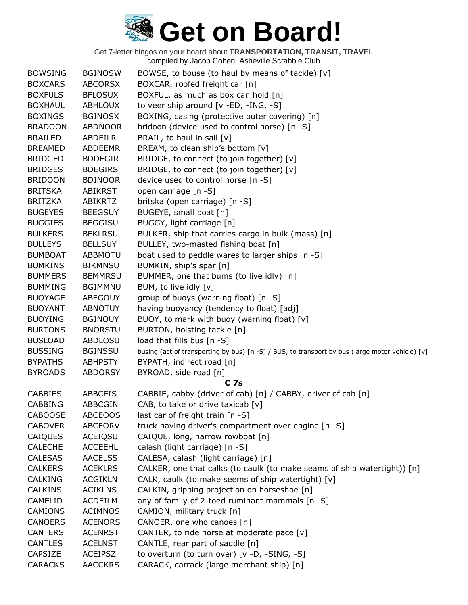| <b>BOWSING</b> | <b>BGINOSW</b> | BOWSE, to bouse (to haul by means of tackle) [v]                                                |
|----------------|----------------|-------------------------------------------------------------------------------------------------|
| <b>BOXCARS</b> | <b>ABCORSX</b> | BOXCAR, roofed freight car [n]                                                                  |
| <b>BOXFULS</b> | <b>BFLOSUX</b> | BOXFUL, as much as box can hold [n]                                                             |
| <b>BOXHAUL</b> | <b>ABHLOUX</b> | to veer ship around $[v - ED, -ING, -S]$                                                        |
| <b>BOXINGS</b> | <b>BGINOSX</b> | BOXING, casing (protective outer covering) [n]                                                  |
| <b>BRADOON</b> | <b>ABDNOOR</b> | bridoon (device used to control horse) [n -S]                                                   |
| <b>BRAILED</b> | <b>ABDEILR</b> | BRAIL, to haul in sail $[v]$                                                                    |
| <b>BREAMED</b> | <b>ABDEEMR</b> | BREAM, to clean ship's bottom [v]                                                               |
| <b>BRIDGED</b> | <b>BDDEGIR</b> | BRIDGE, to connect (to join together) [v]                                                       |
| <b>BRIDGES</b> | <b>BDEGIRS</b> | BRIDGE, to connect (to join together) [v]                                                       |
| <b>BRIDOON</b> | <b>BDINOOR</b> | device used to control horse [n -S]                                                             |
| <b>BRITSKA</b> | <b>ABIKRST</b> | open carriage [n -S]                                                                            |
| <b>BRITZKA</b> | ABIKRTZ        | britska (open carriage) [n -S]                                                                  |
| <b>BUGEYES</b> | <b>BEEGSUY</b> | BUGEYE, small boat [n]                                                                          |
| <b>BUGGIES</b> | <b>BEGGISU</b> | BUGGY, light carriage [n]                                                                       |
| <b>BULKERS</b> | <b>BEKLRSU</b> | BULKER, ship that carries cargo in bulk (mass) [n]                                              |
| <b>BULLEYS</b> | <b>BELLSUY</b> | BULLEY, two-masted fishing boat [n]                                                             |
| <b>BUMBOAT</b> | <b>ABBMOTU</b> | boat used to peddle wares to larger ships [n -S]                                                |
| <b>BUMKINS</b> | <b>BIKMNSU</b> | BUMKIN, ship's spar [n]                                                                         |
| <b>BUMMERS</b> | <b>BEMMRSU</b> | BUMMER, one that bums (to live idly) [n]                                                        |
| <b>BUMMING</b> | <b>BGIMMNU</b> | BUM, to live idly [v]                                                                           |
| <b>BUOYAGE</b> | <b>ABEGOUY</b> | group of buoys (warning float) [n -S]                                                           |
| <b>BUOYANT</b> | <b>ABNOTUY</b> | having buoyancy (tendency to float) [adj]                                                       |
| <b>BUOYING</b> | <b>BGINOUY</b> | BUOY, to mark with buoy (warning float) [v]                                                     |
| <b>BURTONS</b> | <b>BNORSTU</b> | BURTON, hoisting tackle [n]                                                                     |
| <b>BUSLOAD</b> | ABDLOSU        | load that fills bus [n -S]                                                                      |
| <b>BUSSING</b> | <b>BGINSSU</b> | busing (act of transporting by bus) [n -S] / BUS, to transport by bus (large motor vehicle) [v] |
| <b>BYPATHS</b> | <b>ABHPSTY</b> | BYPATH, indirect road [n]                                                                       |
| <b>BYROADS</b> | <b>ABDORSY</b> | BYROAD, side road [n]                                                                           |
|                |                | C <sub>7s</sub>                                                                                 |
| <b>CABBIES</b> | ABBCEIS        | CABBIE, cabby (driver of cab) [n] / CABBY, driver of cab [n]                                    |
| <b>CABBING</b> | ABBCGIN        | CAB, to take or drive taxicab $[v]$                                                             |
| <b>CABOOSE</b> | <b>ABCEOOS</b> | last car of freight train [n -S]                                                                |
| <b>CABOVER</b> | <b>ABCEORV</b> | truck having driver's compartment over engine [n -S]                                            |
| CAIQUES        | <b>ACEIQSU</b> | CAIQUE, long, narrow rowboat [n]                                                                |
| <b>CALECHE</b> | <b>ACCEEHL</b> | calash (light carriage) [n -S]                                                                  |
| <b>CALESAS</b> | <b>AACELSS</b> | CALESA, calash (light carriage) [n]                                                             |
| <b>CALKERS</b> | <b>ACEKLRS</b> | CALKER, one that calks (to caulk (to make seams of ship watertight)) [n]                        |
| <b>CALKING</b> | <b>ACGIKLN</b> | CALK, caulk (to make seems of ship watertight) [v]                                              |
| <b>CALKINS</b> | <b>ACIKLNS</b> | CALKIN, gripping projection on horseshoe [n]                                                    |
| CAMELID        | <b>ACDEILM</b> | any of family of 2-toed ruminant mammals [n -S]                                                 |
| <b>CAMIONS</b> | <b>ACIMNOS</b> | CAMION, military truck [n]                                                                      |
| <b>CANOERS</b> | <b>ACENORS</b> | CANOER, one who canoes [n]                                                                      |
| <b>CANTERS</b> | <b>ACENRST</b> | CANTER, to ride horse at moderate pace [v]                                                      |
| <b>CANTLES</b> | <b>ACELNST</b> | CANTLE, rear part of saddle [n]                                                                 |
| <b>CAPSIZE</b> | <b>ACEIPSZ</b> | to overturn (to turn over) [v -D, -SING, -S]                                                    |
| <b>CARACKS</b> | <b>AACCKRS</b> | CARACK, carrack (large merchant ship) [n]                                                       |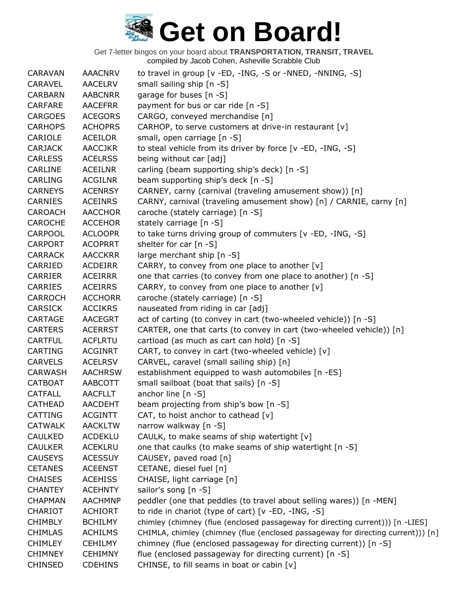| <b>CARAVAN</b> | <b>AAACNRV</b> | to travel in group [v -ED, -ING, -S or -NNED, -NNING, -S]                        |
|----------------|----------------|----------------------------------------------------------------------------------|
| <b>CARAVEL</b> | <b>AACELRV</b> | small sailing ship [n -S]                                                        |
| <b>CARBARN</b> | <b>AABCNRR</b> | garage for buses [n -S]                                                          |
| <b>CARFARE</b> | <b>AACEFRR</b> | payment for bus or car ride [n -S]                                               |
| <b>CARGOES</b> | <b>ACEGORS</b> | CARGO, conveyed merchandise [n]                                                  |
| <b>CARHOPS</b> | <b>ACHOPRS</b> | CARHOP, to serve customers at drive-in restaurant [v]                            |
| CARIOLE        | ACEILOR        | small, open carriage [n -S]                                                      |
| <b>CARJACK</b> | <b>AACCJKR</b> | to steal vehicle from its driver by force [v -ED, -ING, -S]                      |
| <b>CARLESS</b> | <b>ACELRSS</b> | being without car [adj]                                                          |
| CARLINE        | <b>ACEILNR</b> | carling (beam supporting ship's deck) [n -S]                                     |
| <b>CARLING</b> | <b>ACGILNR</b> | beam supporting ship's deck [n -S]                                               |
| <b>CARNEYS</b> | <b>ACENRSY</b> | CARNEY, carny (carnival (traveling amusement show)) [n]                          |
| CARNIES        | <b>ACEINRS</b> | CARNY, carnival (traveling amusement show) [n] / CARNIE, carny [n]               |
| CAROACH        | <b>AACCHOR</b> | caroche (stately carriage) [n -S]                                                |
| <b>CAROCHE</b> | <b>ACCEHOR</b> | stately carriage [n -S]                                                          |
| <b>CARPOOL</b> | <b>ACLOOPR</b> | to take turns driving group of commuters [v -ED, -ING, -S]                       |
| <b>CARPORT</b> | <b>ACOPRRT</b> | shelter for car $[n - S]$                                                        |
| <b>CARRACK</b> | <b>AACCKRR</b> | large merchant ship [n -S]                                                       |
| CARRIED        | ACDEIRR        | CARRY, to convey from one place to another [v]                                   |
| <b>CARRIER</b> | <b>ACEIRRR</b> | one that carries (to convey from one place to another) [n -S]                    |
| <b>CARRIES</b> | <b>ACEIRRS</b> | CARRY, to convey from one place to another [v]                                   |
| <b>CARROCH</b> | <b>ACCHORR</b> | caroche (stately carriage) [n -S]                                                |
| <b>CARSICK</b> | <b>ACCIKRS</b> | nauseated from riding in car [adj]                                               |
| CARTAGE        | <b>AACEGRT</b> | act of carting (to convey in cart (two-wheeled vehicle)) [n -S]                  |
| <b>CARTERS</b> | <b>ACERRST</b> | CARTER, one that carts (to convey in cart (two-wheeled vehicle)) [n]             |
| <b>CARTFUL</b> | <b>ACFLRTU</b> | cartload (as much as cart can hold) [n -S]                                       |
| <b>CARTING</b> | <b>ACGINRT</b> | CART, to convey in cart (two-wheeled vehicle) [v]                                |
| <b>CARVELS</b> | <b>ACELRSV</b> | CARVEL, caravel (small sailing ship) [n]                                         |
| CARWASH        | <b>AACHRSW</b> | establishment equipped to wash automobiles [n -ES]                               |
| <b>CATBOAT</b> | AABCOTT        | small sailboat (boat that sails) [n -S]                                          |
| <b>CATFALL</b> | <b>AACFLLT</b> | anchor line $[n - S]$                                                            |
| <b>CATHEAD</b> | <b>AACDEHT</b> | beam projecting from ship's bow [n -S]                                           |
| CATTING        | <b>ACGINTT</b> | CAT, to hoist anchor to cathead $[v]$                                            |
| <b>CATWALK</b> | <b>AACKLTW</b> | narrow walkway [n -S]                                                            |
| <b>CAULKED</b> | <b>ACDEKLU</b> | CAULK, to make seams of ship watertight [v]                                      |
| <b>CAULKER</b> | <b>ACEKLRU</b> | one that caulks (to make seams of ship watertight [n -S]                         |
| <b>CAUSEYS</b> | <b>ACESSUY</b> | CAUSEY, paved road [n]                                                           |
| <b>CETANES</b> | <b>ACEENST</b> | CETANE, diesel fuel [n]                                                          |
| <b>CHAISES</b> | <b>ACEHISS</b> | CHAISE, light carriage [n]                                                       |
| <b>CHANTEY</b> | <b>ACEHNTY</b> | sailor's song [n -S]                                                             |
| <b>CHAPMAN</b> | <b>AACHMNP</b> | peddler (one that peddles (to travel about selling wares)) [n -MEN]              |
| CHARIOT        | <b>ACHIORT</b> | to ride in chariot (type of cart) [v -ED, -ING, -S]                              |
| <b>CHIMBLY</b> | <b>BCHILMY</b> | chimley (chimney (flue (enclosed passageway for directing current))) [n -LIES]   |
| <b>CHIMLAS</b> | <b>ACHILMS</b> | CHIMLA, chimley (chimney (flue (enclosed passageway for directing current))) [n] |
| <b>CHIMLEY</b> | <b>CEHILMY</b> | chimney (flue (enclosed passageway for directing current)) [n -S]                |
| <b>CHIMNEY</b> | <b>CEHIMNY</b> | flue (enclosed passageway for directing current) [n -S]                          |
| <b>CHINSED</b> | <b>CDEHINS</b> | CHINSE, to fill seams in boat or cabin [v]                                       |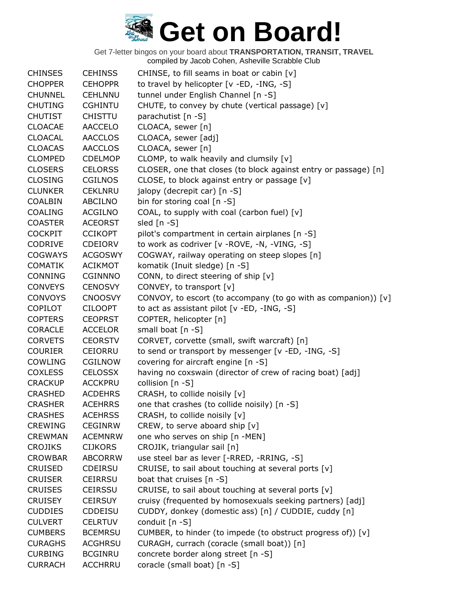| <b>CHINSES</b> | <b>CEHINSS</b> | CHINSE, to fill seams in boat or cabin [v]                      |
|----------------|----------------|-----------------------------------------------------------------|
| <b>CHOPPER</b> | <b>CEHOPPR</b> | to travel by helicopter [v -ED, -ING, -S]                       |
| <b>CHUNNEL</b> | <b>CEHLNNU</b> | tunnel under English Channel [n -S]                             |
| <b>CHUTING</b> | <b>CGHINTU</b> | CHUTE, to convey by chute (vertical passage) [v]                |
| <b>CHUTIST</b> | <b>CHISTTU</b> | parachutist [n -S]                                              |
| <b>CLOACAE</b> | <b>AACCELO</b> | CLOACA, sewer [n]                                               |
| <b>CLOACAL</b> | <b>AACCLOS</b> | CLOACA, sewer [adj]                                             |
| <b>CLOACAS</b> | <b>AACCLOS</b> | CLOACA, sewer [n]                                               |
| <b>CLOMPED</b> | <b>CDELMOP</b> | CLOMP, to walk heavily and clumsily [v]                         |
| <b>CLOSERS</b> | <b>CELORSS</b> | CLOSER, one that closes (to block against entry or passage) [n] |
| <b>CLOSING</b> | <b>CGILNOS</b> | CLOSE, to block against entry or passage [v]                    |
| <b>CLUNKER</b> | <b>CEKLNRU</b> | jalopy (decrepit car) [n -S]                                    |
| <b>COALBIN</b> | <b>ABCILNO</b> | bin for storing coal [n -S]                                     |
| <b>COALING</b> | ACGILNO        | COAL, to supply with coal (carbon fuel) [v]                     |
| <b>COASTER</b> | <b>ACEORST</b> | sled $[n - S]$                                                  |
| <b>COCKPIT</b> | <b>CCIKOPT</b> | pilot's compartment in certain airplanes [n -S]                 |
| CODRIVE        | CDEIORV        | to work as codriver [v - ROVE, -N, -VING, -S]                   |
| <b>COGWAYS</b> | <b>ACGOSWY</b> | COGWAY, railway operating on steep slopes [n]                   |
| <b>COMATIK</b> | <b>ACIKMOT</b> | komatik (Inuit sledge) [n -S]                                   |
| <b>CONNING</b> | <b>CGINNNO</b> | CONN, to direct steering of ship [v]                            |
| <b>CONVEYS</b> | <b>CENOSVY</b> | CONVEY, to transport [v]                                        |
| <b>CONVOYS</b> | <b>CNOOSVY</b> | CONVOY, to escort (to accompany (to go with as companion)) [v]  |
| <b>COPILOT</b> | <b>CILOOPT</b> | to act as assistant pilot [v -ED, -ING, -S]                     |
| <b>COPTERS</b> | <b>CEOPRST</b> | COPTER, helicopter [n]                                          |
| <b>CORACLE</b> | <b>ACCELOR</b> | small boat [n -S]                                               |
| <b>CORVETS</b> | <b>CEORSTV</b> | CORVET, corvette (small, swift warcraft) [n]                    |
| <b>COURIER</b> | <b>CEIORRU</b> | to send or transport by messenger [v -ED, -ING, -S]             |
| COWLING        | CGILNOW        | covering for aircraft engine [n -S]                             |
| <b>COXLESS</b> | <b>CELOSSX</b> | having no coxswain (director of crew of racing boat) [adj]      |
| <b>CRACKUP</b> | <b>ACCKPRU</b> | collision [n -S]                                                |
| <b>CRASHED</b> | <b>ACDEHRS</b> | CRASH, to collide noisily [v]                                   |
| <b>CRASHER</b> | <b>ACEHRRS</b> | one that crashes (to collide noisily) [n -S]                    |
| <b>CRASHES</b> | <b>ACEHRSS</b> | CRASH, to collide noisily [v]                                   |
| <b>CREWING</b> | <b>CEGINRW</b> | CREW, to serve aboard ship [v]                                  |
| <b>CREWMAN</b> | <b>ACEMNRW</b> | one who serves on ship [n -MEN]                                 |
| <b>CROJIKS</b> | <b>CIJKORS</b> | CROJIK, triangular sail [n]                                     |
| <b>CROWBAR</b> | <b>ABCORRW</b> | use steel bar as lever [-RRED, -RRING, -S]                      |
| <b>CRUISED</b> | <b>CDEIRSU</b> | CRUISE, to sail about touching at several ports [v]             |
| <b>CRUISER</b> | <b>CEIRRSU</b> | boat that cruises [n -S]                                        |
| <b>CRUISES</b> | CEIRSSU        | CRUISE, to sail about touching at several ports [v]             |
| <b>CRUISEY</b> | <b>CEIRSUY</b> | cruisy (frequented by homosexuals seeking partners) [adj]       |
| <b>CUDDIES</b> | CDDEISU        | CUDDY, donkey (domestic ass) [n] / CUDDIE, cuddy [n]            |
| <b>CULVERT</b> | <b>CELRTUV</b> | conduit [n -S]                                                  |
| <b>CUMBERS</b> | <b>BCEMRSU</b> | CUMBER, to hinder (to impede (to obstruct progress of)) [v]     |
| <b>CURAGHS</b> | <b>ACGHRSU</b> | CURAGH, currach (coracle (small boat)) [n]                      |
| <b>CURBING</b> | <b>BCGINRU</b> | concrete border along street [n -S]                             |
| <b>CURRACH</b> | <b>ACCHRRU</b> | coracle (small boat) [n -S]                                     |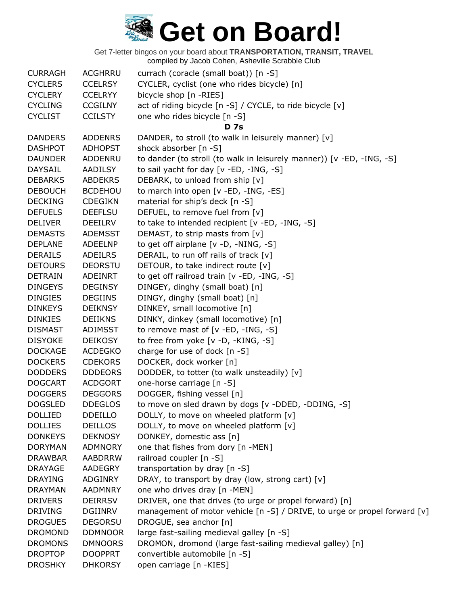| <b>CURRAGH</b> | ACGHRRU        | currach (coracle (small boat)) [n -S]                                     |
|----------------|----------------|---------------------------------------------------------------------------|
| <b>CYCLERS</b> | <b>CCELRSY</b> | CYCLER, cyclist (one who rides bicycle) [n]                               |
| <b>CYCLERY</b> | <b>CCELRYY</b> | bicycle shop [n -RIES]                                                    |
| <b>CYCLING</b> | <b>CCGILNY</b> | act of riding bicycle [n -S] / CYCLE, to ride bicycle [v]                 |
| <b>CYCLIST</b> | <b>CCILSTY</b> | one who rides bicycle [n -S]                                              |
|                |                | <b>D</b> 7s                                                               |
| <b>DANDERS</b> | <b>ADDENRS</b> | DANDER, to stroll (to walk in leisurely manner) [v]                       |
| <b>DASHPOT</b> | <b>ADHOPST</b> | shock absorber [n -S]                                                     |
| <b>DAUNDER</b> | ADDENRU        | to dander (to stroll (to walk in leisurely manner)) [v -ED, -ING, -S]     |
| <b>DAYSAIL</b> | <b>AADILSY</b> | to sail yacht for day [v -ED, -ING, -S]                                   |
| <b>DEBARKS</b> | <b>ABDEKRS</b> | DEBARK, to unload from ship [v]                                           |
| <b>DEBOUCH</b> | <b>BCDEHOU</b> | to march into open [v -ED, -ING, -ES]                                     |
| <b>DECKING</b> | <b>CDEGIKN</b> | material for ship's deck [n -S]                                           |
| <b>DEFUELS</b> | <b>DEEFLSU</b> | DEFUEL, to remove fuel from [v]                                           |
| <b>DELIVER</b> | DEEILRV        | to take to intended recipient [v -ED, -ING, -S]                           |
| <b>DEMASTS</b> | <b>ADEMSST</b> | DEMAST, to strip masts from [v]                                           |
| <b>DEPLANE</b> | <b>ADEELNP</b> | to get off airplane [v -D, -NING, -S]                                     |
| <b>DERAILS</b> | <b>ADEILRS</b> | DERAIL, to run off rails of track [v]                                     |
| <b>DETOURS</b> | <b>DEORSTU</b> | DETOUR, to take indirect route [v]                                        |
| <b>DETRAIN</b> | <b>ADEINRT</b> | to get off railroad train [v -ED, -ING, -S]                               |
| <b>DINGEYS</b> | <b>DEGINSY</b> | DINGEY, dinghy (small boat) [n]                                           |
| <b>DINGIES</b> | <b>DEGIINS</b> | DINGY, dinghy (small boat) [n]                                            |
| <b>DINKEYS</b> | <b>DEIKNSY</b> | DINKEY, small locomotive [n]                                              |
| <b>DINKIES</b> | <b>DEIIKNS</b> | DINKY, dinkey (small locomotive) [n]                                      |
| <b>DISMAST</b> | ADIMSST        | to remove mast of $[v - ED, -ING, -S]$                                    |
| <b>DISYOKE</b> | <b>DEIKOSY</b> | to free from yoke [v -D, -KING, -S]                                       |
| <b>DOCKAGE</b> | <b>ACDEGKO</b> | charge for use of dock [n -S]                                             |
| <b>DOCKERS</b> | <b>CDEKORS</b> | DOCKER, dock worker [n]                                                   |
| <b>DODDERS</b> | <b>DDDEORS</b> | DODDER, to totter (to walk unsteadily) [v]                                |
| <b>DOGCART</b> | <b>ACDGORT</b> | one-horse carriage [n -S]                                                 |
| <b>DOGGERS</b> | <b>DEGGORS</b> | DOGGER, fishing vessel [n]                                                |
| <b>DOGSLED</b> | <b>DDEGLOS</b> | to move on sled drawn by dogs [v -DDED, -DDING, -S]                       |
| <b>DOLLIED</b> | <b>DDEILLO</b> | DOLLY, to move on wheeled platform [v]                                    |
| <b>DOLLIES</b> | <b>DEILLOS</b> | DOLLY, to move on wheeled platform [v]                                    |
| <b>DONKEYS</b> | <b>DEKNOSY</b> | DONKEY, domestic ass [n]                                                  |
| <b>DORYMAN</b> | <b>ADMNORY</b> | one that fishes from dory [n -MEN]                                        |
| <b>DRAWBAR</b> | <b>AABDRRW</b> | railroad coupler [n -S]                                                   |
| <b>DRAYAGE</b> | AADEGRY        | transportation by dray [n -S]                                             |
| <b>DRAYING</b> | <b>ADGINRY</b> | DRAY, to transport by dray (low, strong cart) [v]                         |
| <b>DRAYMAN</b> | <b>AADMNRY</b> | one who drives dray [n -MEN]                                              |
| <b>DRIVERS</b> | <b>DEIRRSV</b> | DRIVER, one that drives (to urge or propel forward) [n]                   |
| <b>DRIVING</b> | <b>DGIINRV</b> | management of motor vehicle [n -S] / DRIVE, to urge or propel forward [v] |
| <b>DROGUES</b> | <b>DEGORSU</b> | DROGUE, sea anchor [n]                                                    |
| <b>DROMOND</b> | <b>DDMNOOR</b> | large fast-sailing medieval galley [n -S]                                 |
| <b>DROMONS</b> | <b>DMNOORS</b> | DROMON, dromond (large fast-sailing medieval galley) [n]                  |
| <b>DROPTOP</b> | <b>DOOPPRT</b> | convertible automobile [n -S]                                             |
| <b>DROSHKY</b> | <b>DHKORSY</b> | open carriage [n -KIES]                                                   |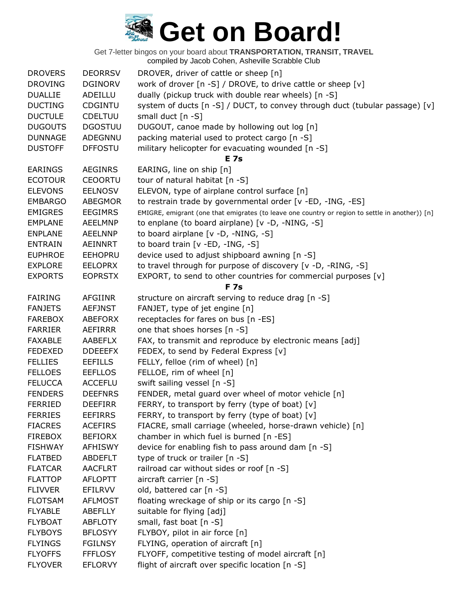| <b>DROVERS</b> | <b>DEORRSV</b> | DROVER, driver of cattle or sheep [n]                                                           |
|----------------|----------------|-------------------------------------------------------------------------------------------------|
| <b>DROVING</b> | <b>DGINORV</b> | work of drover [n -S] / DROVE, to drive cattle or sheep [v]                                     |
| <b>DUALLIE</b> | ADEILLU        | dually (pickup truck with double rear wheels) [n -S]                                            |
| <b>DUCTING</b> | CDGINTU        | system of ducts [n -S] / DUCT, to convey through duct (tubular passage) [v]                     |
| <b>DUCTULE</b> | <b>CDELTUU</b> | small duct [n -S]                                                                               |
| <b>DUGOUTS</b> | <b>DGOSTUU</b> | DUGOUT, canoe made by hollowing out log [n]                                                     |
| <b>DUNNAGE</b> | ADEGNNU        | packing material used to protect cargo [n -S]                                                   |
| <b>DUSTOFF</b> | <b>DFFOSTU</b> | military helicopter for evacuating wounded [n -S]                                               |
|                |                | <b>E</b> 7s                                                                                     |
| <b>EARINGS</b> | <b>AEGINRS</b> | EARING, line on ship [n]                                                                        |
| <b>ECOTOUR</b> | <b>CEOORTU</b> | tour of natural habitat [n -S]                                                                  |
| <b>ELEVONS</b> | <b>EELNOSV</b> | ELEVON, type of airplane control surface [n]                                                    |
| <b>EMBARGO</b> | <b>ABEGMOR</b> | to restrain trade by governmental order [v -ED, -ING, -ES]                                      |
| <b>EMIGRES</b> | <b>EEGIMRS</b> | EMIGRE, emigrant (one that emigrates (to leave one country or region to settle in another)) [n] |
| <b>EMPLANE</b> | <b>AEELMNP</b> | to enplane (to board airplane) [v -D, -NING, -S]                                                |
| <b>ENPLANE</b> | <b>AEELNNP</b> | to board airplane [v -D, -NING, -S]                                                             |
| <b>ENTRAIN</b> | <b>AEINNRT</b> | to board train [v -ED, -ING, -S]                                                                |
| <b>EUPHROE</b> | <b>EEHOPRU</b> | device used to adjust shipboard awning [n -S]                                                   |
| <b>EXPLORE</b> | <b>EELOPRX</b> | to travel through for purpose of discovery [v -D, -RING, -S]                                    |
| <b>EXPORTS</b> | <b>EOPRSTX</b> | EXPORT, to send to other countries for commercial purposes [v]                                  |
|                |                | <b>F7s</b>                                                                                      |
| <b>FAIRING</b> | <b>AFGIINR</b> | structure on aircraft serving to reduce drag [n -S]                                             |
| <b>FANJETS</b> | <b>AEFJNST</b> | FANJET, type of jet engine [n]                                                                  |
| <b>FAREBOX</b> | <b>ABEFORX</b> | receptacles for fares on bus [n -ES]                                                            |
| <b>FARRIER</b> | AEFIRRR        | one that shoes horses [n -S]                                                                    |
| <b>FAXABLE</b> | AABEFLX        | FAX, to transmit and reproduce by electronic means [adj]                                        |
| <b>FEDEXED</b> | <b>DDEEEFX</b> | FEDEX, to send by Federal Express [v]                                                           |
| <b>FELLIES</b> | <b>EEFILLS</b> | FELLY, felloe (rim of wheel) [n]                                                                |
| <b>FELLOES</b> | <b>EEFLLOS</b> | FELLOE, rim of wheel [n]                                                                        |
| <b>FELUCCA</b> | <b>ACCEFLU</b> | swift sailing vessel [n -S]                                                                     |
| <b>FENDERS</b> | <b>DEEFNRS</b> | FENDER, metal guard over wheel of motor vehicle [n]                                             |
| <b>FERRIED</b> | <b>DEEFIRR</b> | FERRY, to transport by ferry (type of boat) [v]                                                 |
| <b>FERRIES</b> | <b>EEFIRRS</b> | FERRY, to transport by ferry (type of boat) [v]                                                 |
| <b>FIACRES</b> | <b>ACEFIRS</b> | FIACRE, small carriage (wheeled, horse-drawn vehicle) [n]                                       |
| <b>FIREBOX</b> | <b>BEFIORX</b> | chamber in which fuel is burned [n -ES]                                                         |
| <b>FISHWAY</b> | <b>AFHISWY</b> | device for enabling fish to pass around dam [n -S]                                              |
| <b>FLATBED</b> | <b>ABDEFLT</b> | type of truck or trailer [n -S]                                                                 |
| <b>FLATCAR</b> | <b>AACFLRT</b> | railroad car without sides or roof [n -S]                                                       |
| <b>FLATTOP</b> | <b>AFLOPTT</b> | aircraft carrier [n -S]                                                                         |
| <b>FLIVVER</b> | EFILRVV        | old, battered car [n -S]                                                                        |
| <b>FLOTSAM</b> | <b>AFLMOST</b> | floating wreckage of ship or its cargo [n -S]                                                   |
| <b>FLYABLE</b> | <b>ABEFLLY</b> | suitable for flying [adj]                                                                       |
| <b>FLYBOAT</b> | <b>ABFLOTY</b> | small, fast boat [n -S]                                                                         |
| <b>FLYBOYS</b> | <b>BFLOSYY</b> | FLYBOY, pilot in air force [n]                                                                  |
| <b>FLYINGS</b> | <b>FGILNSY</b> | FLYING, operation of aircraft [n]                                                               |
| <b>FLYOFFS</b> | <b>FFFLOSY</b> | FLYOFF, competitive testing of model aircraft [n]                                               |
| <b>FLYOVER</b> | <b>EFLORVY</b> | flight of aircraft over specific location [n -S]                                                |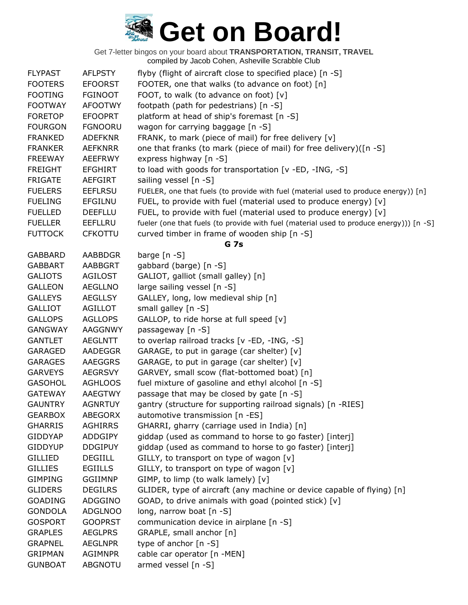| <b>FLYPAST</b> | <b>AFLPSTY</b> | flyby (flight of aircraft close to specified place) [n -S]                              |
|----------------|----------------|-----------------------------------------------------------------------------------------|
| <b>FOOTERS</b> | <b>EFOORST</b> | FOOTER, one that walks (to advance on foot) [n]                                         |
| <b>FOOTING</b> | <b>FGINOOT</b> | FOOT, to walk (to advance on foot) [v]                                                  |
| <b>FOOTWAY</b> | <b>AFOOTWY</b> | footpath (path for pedestrians) [n -S]                                                  |
| <b>FORETOP</b> | <b>EFOOPRT</b> | platform at head of ship's foremast [n -S]                                              |
| <b>FOURGON</b> | <b>FGNOORU</b> | wagon for carrying baggage [n -S]                                                       |
| <b>FRANKED</b> | <b>ADEFKNR</b> | FRANK, to mark (piece of mail) for free delivery [v]                                    |
| <b>FRANKER</b> | <b>AEFKNRR</b> | one that franks (to mark (piece of mail) for free delivery)([n -S]                      |
| <b>FREEWAY</b> | <b>AEEFRWY</b> | express highway [n -S]                                                                  |
| <b>FREIGHT</b> | <b>EFGHIRT</b> | to load with goods for transportation [v -ED, -ING, -S]                                 |
| <b>FRIGATE</b> | AEFGIRT        | sailing vessel $[n -S]$                                                                 |
| <b>FUELERS</b> | <b>EEFLRSU</b> | FUELER, one that fuels (to provide with fuel (material used to produce energy)) [n]     |
| <b>FUELING</b> | <b>EFGILNU</b> | FUEL, to provide with fuel (material used to produce energy) [v]                        |
| <b>FUELLED</b> | <b>DEEFLLU</b> | FUEL, to provide with fuel (material used to produce energy) [v]                        |
| <b>FUELLER</b> | <b>EEFLLRU</b> | fueler (one that fuels (to provide with fuel (material used to produce energy))) [n -S] |
| <b>FUTTOCK</b> | <b>CFKOTTU</b> | curved timber in frame of wooden ship [n -S]                                            |
|                |                | <b>G</b> 7s                                                                             |
| <b>GABBARD</b> | <b>AABBDGR</b> | barge $[n - S]$                                                                         |
| <b>GABBART</b> | <b>AABBGRT</b> | gabbard (barge) [n -S]                                                                  |
| <b>GALIOTS</b> | <b>AGILOST</b> | GALIOT, galliot (small galley) [n]                                                      |
| <b>GALLEON</b> | <b>AEGLLNO</b> | large sailing vessel [n -S]                                                             |
| <b>GALLEYS</b> | <b>AEGLLSY</b> | GALLEY, long, low medieval ship [n]                                                     |
| <b>GALLIOT</b> | <b>AGILLOT</b> | small galley [n -S]                                                                     |
| <b>GALLOPS</b> | <b>AGLLOPS</b> | GALLOP, to ride horse at full speed [v]                                                 |
| <b>GANGWAY</b> | AAGGNWY        | passageway [n -S]                                                                       |
| <b>GANTLET</b> | <b>AEGLNTT</b> | to overlap railroad tracks [v -ED, -ING, -S]                                            |
| GARAGED        | <b>AADEGGR</b> | GARAGE, to put in garage (car shelter) [v]                                              |
| <b>GARAGES</b> | <b>AAEGGRS</b> | GARAGE, to put in garage (car shelter) [v]                                              |
| <b>GARVEYS</b> | <b>AEGRSVY</b> | GARVEY, small scow (flat-bottomed boat) [n]                                             |
| <b>GASOHOL</b> | <b>AGHLOOS</b> | fuel mixture of gasoline and ethyl alcohol [n -S]                                       |
| <b>GATEWAY</b> | <b>AAEGTWY</b> | passage that may be closed by gate [n -S]                                               |
| <b>GAUNTRY</b> | <b>AGNRTUY</b> | gantry (structure for supporting railroad signals) [n -RIES]                            |
| <b>GEARBOX</b> | <b>ABEGORX</b> | automotive transmission [n -ES]                                                         |
| <b>GHARRIS</b> | <b>AGHIRRS</b> | GHARRI, gharry (carriage used in India) [n]                                             |
| <b>GIDDYAP</b> | <b>ADDGIPY</b> | giddap (used as command to horse to go faster) [interj]                                 |
| <b>GIDDYUP</b> | <b>DDGIPUY</b> | giddap (used as command to horse to go faster) [interj]                                 |
| <b>GILLIED</b> | <b>DEGIILL</b> | GILLY, to transport on type of wagon [v]                                                |
| <b>GILLIES</b> | <b>EGIILLS</b> | GILLY, to transport on type of wagon [v]                                                |
| <b>GIMPING</b> | <b>GGIIMNP</b> | GIMP, to limp (to walk lamely) $[v]$                                                    |
| <b>GLIDERS</b> | <b>DEGILRS</b> | GLIDER, type of aircraft (any machine or device capable of flying) [n]                  |
| <b>GOADING</b> | ADGGINO        | GOAD, to drive animals with goad (pointed stick) [v]                                    |
| <b>GONDOLA</b> | <b>ADGLNOO</b> | long, narrow boat $[n - S]$                                                             |
| <b>GOSPORT</b> | <b>GOOPRST</b> | communication device in airplane [n -S]                                                 |
| <b>GRAPLES</b> | <b>AEGLPRS</b> | GRAPLE, small anchor [n]                                                                |
| <b>GRAPNEL</b> | <b>AEGLNPR</b> | type of anchor $[n - S]$                                                                |
| <b>GRIPMAN</b> | <b>AGIMNPR</b> | cable car operator [n -MEN]                                                             |
| <b>GUNBOAT</b> | <b>ABGNOTU</b> | armed vessel [n -S]                                                                     |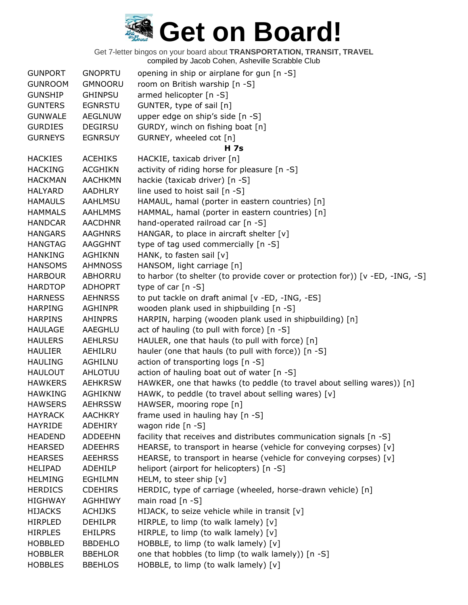| <b>GUNPORT</b> | <b>GNOPRTU</b> | opening in ship or airplane for gun [n -S]                                    |
|----------------|----------------|-------------------------------------------------------------------------------|
| <b>GUNROOM</b> | <b>GMNOORU</b> | room on British warship [n -S]                                                |
| <b>GUNSHIP</b> | <b>GHINPSU</b> | armed helicopter [n -S]                                                       |
| <b>GUNTERS</b> | <b>EGNRSTU</b> | GUNTER, type of sail [n]                                                      |
| <b>GUNWALE</b> | <b>AEGLNUW</b> | upper edge on ship's side [n -S]                                              |
| <b>GURDIES</b> | <b>DEGIRSU</b> | GURDY, winch on fishing boat [n]                                              |
| <b>GURNEYS</b> | <b>EGNRSUY</b> | GURNEY, wheeled cot [n]                                                       |
|                |                | <b>H</b> 7s                                                                   |
| <b>HACKIES</b> | <b>ACEHIKS</b> | HACKIE, taxicab driver [n]                                                    |
| <b>HACKING</b> | <b>ACGHIKN</b> | activity of riding horse for pleasure [n -S]                                  |
| <b>HACKMAN</b> | <b>AACHKMN</b> | hackie (taxicab driver) [n -S]                                                |
| <b>HALYARD</b> | AADHLRY        | line used to hoist sail [n -S]                                                |
| <b>HAMAULS</b> | AAHLMSU        | HAMAUL, hamal (porter in eastern countries) [n]                               |
| <b>HAMMALS</b> | <b>AAHLMMS</b> | HAMMAL, hamal (porter in eastern countries) [n]                               |
| <b>HANDCAR</b> | <b>AACDHNR</b> | hand-operated railroad car [n -S]                                             |
| <b>HANGARS</b> | <b>AAGHNRS</b> | HANGAR, to place in aircraft shelter [v]                                      |
| <b>HANGTAG</b> | AAGGHNT        | type of tag used commercially [n -S]                                          |
| <b>HANKING</b> | <b>AGHIKNN</b> | HANK, to fasten sail [v]                                                      |
| <b>HANSOMS</b> | <b>AHMNOSS</b> | HANSOM, light carriage [n]                                                    |
| <b>HARBOUR</b> | ABHORRU        | to harbor (to shelter (to provide cover or protection for)) [v -ED, -ING, -S] |
| <b>HARDTOP</b> | <b>ADHOPRT</b> | type of car $[n - S]$                                                         |
| <b>HARNESS</b> | <b>AEHNRSS</b> | to put tackle on draft animal [v -ED, -ING, -ES]                              |
| <b>HARPING</b> | <b>AGHINPR</b> | wooden plank used in shipbuilding [n -S]                                      |
| <b>HARPINS</b> | <b>AHINPRS</b> | HARPIN, harping (wooden plank used in shipbuilding) [n]                       |
| <b>HAULAGE</b> | AAEGHLU        | act of hauling (to pull with force) [n -S]                                    |
| <b>HAULERS</b> | AEHLRSU        | HAULER, one that hauls (to pull with force) [n]                               |
| <b>HAULIER</b> | AEHILRU        | hauler (one that hauls (to pull with force)) [n -S]                           |
| <b>HAULING</b> | AGHILNU        | action of transporting logs [n -S]                                            |
| <b>HAULOUT</b> | AHLOTUU        | action of hauling boat out of water [n -S]                                    |
| <b>HAWKERS</b> | <b>AEHKRSW</b> | HAWKER, one that hawks (to peddle (to travel about selling wares)) [n]        |
| <b>HAWKING</b> | <b>AGHIKNW</b> | HAWK, to peddle (to travel about selling wares) [v]                           |
| <b>HAWSERS</b> | <b>AEHRSSW</b> | HAWSER, mooring rope [n]                                                      |
| <b>HAYRACK</b> | <b>AACHKRY</b> | frame used in hauling hay [n -S]                                              |
| <b>HAYRIDE</b> | <b>ADEHIRY</b> | wagon ride [n -S]                                                             |
| <b>HEADEND</b> | <b>ADDEEHN</b> | facility that receives and distributes communication signals [n -S]           |
| <b>HEARSED</b> | <b>ADEEHRS</b> | HEARSE, to transport in hearse (vehicle for conveying corpses) [v]            |
| <b>HEARSES</b> | <b>AEEHRSS</b> | HEARSE, to transport in hearse (vehicle for conveying corpses) [v]            |
| <b>HELIPAD</b> | <b>ADEHILP</b> | heliport (airport for helicopters) [n -S]                                     |
| <b>HELMING</b> | <b>EGHILMN</b> | HELM, to steer ship [v]                                                       |
| <b>HERDICS</b> | <b>CDEHIRS</b> | HERDIC, type of carriage (wheeled, horse-drawn vehicle) [n]                   |
| <b>HIGHWAY</b> | <b>AGHHIWY</b> | main road $[n - S]$                                                           |
| <b>HIJACKS</b> | <b>ACHIJKS</b> | HIJACK, to seize vehicle while in transit [v]                                 |
| <b>HIRPLED</b> | <b>DEHILPR</b> | HIRPLE, to limp (to walk lamely) $[v]$                                        |
| <b>HIRPLES</b> | <b>EHILPRS</b> | HIRPLE, to limp (to walk lamely) [v]                                          |
| <b>HOBBLED</b> | <b>BBDEHLO</b> | HOBBLE, to limp (to walk lamely) [v]                                          |
| <b>HOBBLER</b> | <b>BBEHLOR</b> | one that hobbles (to limp (to walk lamely)) [n -S]                            |
| <b>HOBBLES</b> | <b>BBEHLOS</b> | HOBBLE, to limp (to walk lamely) [v]                                          |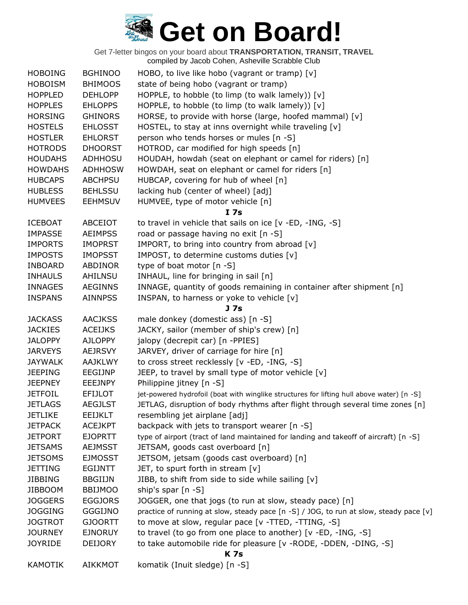| <b>HOBOING</b> | <b>BGHINOO</b> | HOBO, to live like hobo (vagrant or tramp) $[v]$                                          |
|----------------|----------------|-------------------------------------------------------------------------------------------|
| <b>HOBOISM</b> | <b>BHIMOOS</b> | state of being hobo (vagrant or tramp)                                                    |
| <b>HOPPLED</b> | <b>DEHLOPP</b> | HOPPLE, to hobble (to limp (to walk lamely)) [v]                                          |
| <b>HOPPLES</b> | <b>EHLOPPS</b> | HOPPLE, to hobble (to limp (to walk lamely)) [v]                                          |
| <b>HORSING</b> | <b>GHINORS</b> | HORSE, to provide with horse (large, hoofed mammal) [v]                                   |
| <b>HOSTELS</b> | <b>EHLOSST</b> | HOSTEL, to stay at inns overnight while traveling [v]                                     |
| <b>HOSTLER</b> | <b>EHLORST</b> | person who tends horses or mules [n -S]                                                   |
| <b>HOTRODS</b> | <b>DHOORST</b> | HOTROD, car modified for high speeds [n]                                                  |
| <b>HOUDAHS</b> | <b>ADHHOSU</b> | HOUDAH, howdah (seat on elephant or camel for riders) [n]                                 |
| <b>HOWDAHS</b> | <b>ADHHOSW</b> | HOWDAH, seat on elephant or camel for riders [n]                                          |
| <b>HUBCAPS</b> | <b>ABCHPSU</b> | HUBCAP, covering for hub of wheel [n]                                                     |
| <b>HUBLESS</b> | <b>BEHLSSU</b> | lacking hub (center of wheel) [adj]                                                       |
| <b>HUMVEES</b> | <b>EEHMSUV</b> | HUMVEE, type of motor vehicle [n]                                                         |
|                |                | I <sub>7s</sub>                                                                           |
| <b>ICEBOAT</b> | ABCEIOT        | to travel in vehicle that sails on ice [v -ED, -ING, -S]                                  |
| <b>IMPASSE</b> | <b>AEIMPSS</b> | road or passage having no exit [n -S]                                                     |
| <b>IMPORTS</b> | <b>IMOPRST</b> | IMPORT, to bring into country from abroad [v]                                             |
| <b>IMPOSTS</b> | <b>IMOPSST</b> | IMPOST, to determine customs duties [v]                                                   |
| <b>INBOARD</b> | ABDINOR        | type of boat motor [n -S]                                                                 |
| <b>INHAULS</b> | AHILNSU        | INHAUL, line for bringing in sail [n]                                                     |
| <b>INNAGES</b> | <b>AEGINNS</b> | INNAGE, quantity of goods remaining in container after shipment [n]                       |
| <b>INSPANS</b> | <b>AINNPSS</b> | INSPAN, to harness or yoke to vehicle [v]                                                 |
|                |                | J 7s                                                                                      |
| <b>JACKASS</b> | <b>AACJKSS</b> | male donkey (domestic ass) [n -S]                                                         |
| <b>JACKIES</b> | <b>ACEIJKS</b> | JACKY, sailor (member of ship's crew) [n]                                                 |
| <b>JALOPPY</b> | <b>AJLOPPY</b> | jalopy (decrepit car) [n -PPIES]                                                          |
| <b>JARVEYS</b> | <b>AEJRSVY</b> | JARVEY, driver of carriage for hire [n]                                                   |
| <b>JAYWALK</b> | <b>AAJKLWY</b> | to cross street recklessly [v -ED, -ING, -S]                                              |
| <b>JEEPING</b> | EEGIJNP        | JEEP, to travel by small type of motor vehicle [v]                                        |
| <b>JEEPNEY</b> | <b>EEEJNPY</b> | Philippine jitney [n -S]                                                                  |
| <b>JETFOIL</b> | <b>EFIJLOT</b> | jet-powered hydrofoil (boat with winglike structures for lifting hull above water) [n -S] |
| <b>JETLAGS</b> | <b>AEGJLST</b> | JETLAG, disruption of body rhythms after flight through several time zones [n]            |
| <b>JETLIKE</b> | <b>EEIJKLT</b> | resembling jet airplane [adj]                                                             |
| <b>JETPACK</b> | <b>ACEJKPT</b> | backpack with jets to transport wearer [n -S]                                             |
| <b>JETPORT</b> | <b>EJOPRTT</b> | type of airport (tract of land maintained for landing and takeoff of aircraft) [n -S]     |
| <b>JETSAMS</b> | <b>AEJMSST</b> | JETSAM, goods cast overboard [n]                                                          |
| <b>JETSOMS</b> | <b>EJMOSST</b> | JETSOM, jetsam (goods cast overboard) [n]                                                 |
| <b>JETTING</b> | EGIJNTT        | JET, to spurt forth in stream [v]                                                         |
| <b>JIBBING</b> | <b>BBGIIJN</b> | JIBB, to shift from side to side while sailing [v]                                        |
| <b>JIBBOOM</b> | <b>BBIJMOO</b> | ship's spar [n -S]                                                                        |
| <b>JOGGERS</b> | <b>EGGJORS</b> | JOGGER, one that jogs (to run at slow, steady pace) [n]                                   |
| <b>JOGGING</b> | <b>GGGIJNO</b> | practice of running at slow, steady pace [n -S] / JOG, to run at slow, steady pace [v]    |
| <b>JOGTROT</b> | <b>GJOORTT</b> | to move at slow, regular pace [v -TTED, -TTING, -S]                                       |
| <b>JOURNEY</b> | <b>EJNORUY</b> | to travel (to go from one place to another) [v -ED, -ING, -S]                             |
| <b>JOYRIDE</b> | <b>DEIJORY</b> | to take automobile ride for pleasure [v - RODE, -DDEN, -DING, -S]                         |
|                |                | <b>K7s</b>                                                                                |
| <b>KAMOTIK</b> | <b>AIKKMOT</b> | komatik (Inuit sledge) [n -S]                                                             |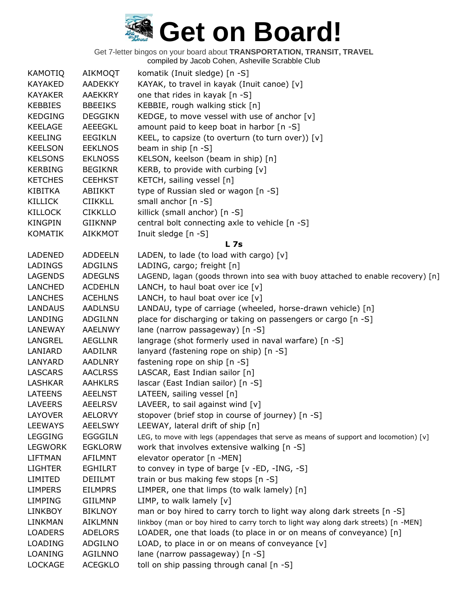Get 7-letter bingos on your board about **TRANSPORTATION, TRANSIT, TRAVEL**

compiled by Jacob Cohen, Asheville Scrabble Club

| <b>KAMOTIQ</b> | <b>AIKMOQT</b> | komatik (Inuit sledge) [n -S]                                                         |
|----------------|----------------|---------------------------------------------------------------------------------------|
| KAYAKED        | AADEKKY        | KAYAK, to travel in kayak (Inuit canoe) [v]                                           |
| <b>KAYAKER</b> | <b>AAEKKRY</b> | one that rides in kayak [n -S]                                                        |
| <b>KEBBIES</b> | <b>BBEEIKS</b> | KEBBIE, rough walking stick [n]                                                       |
| <b>KEDGING</b> | <b>DEGGIKN</b> | KEDGE, to move vessel with use of anchor [v]                                          |
| <b>KEELAGE</b> | AEEEGKL        | amount paid to keep boat in harbor [n -S]                                             |
| <b>KEELING</b> | <b>EEGIKLN</b> | KEEL, to capsize (to overturn (to turn over)) $[v]$                                   |
| <b>KEELSON</b> | <b>EEKLNOS</b> | beam in ship $[n - S]$                                                                |
| <b>KELSONS</b> | <b>EKLNOSS</b> | KELSON, keelson (beam in ship) [n]                                                    |
| <b>KERBING</b> | <b>BEGIKNR</b> | KERB, to provide with curbing [v]                                                     |
| <b>KETCHES</b> | <b>CEEHKST</b> | KETCH, sailing vessel [n]                                                             |
| KIBITKA        | ABIIKKT        | type of Russian sled or wagon [n -S]                                                  |
| <b>KILLICK</b> | <b>CIIKKLL</b> | small anchor $[n - S]$                                                                |
| <b>KILLOCK</b> | <b>CIKKLLO</b> | killick (small anchor) [n -S]                                                         |
| <b>KINGPIN</b> | GIIKNNP        | central bolt connecting axle to vehicle [n -S]                                        |
| <b>KOMATIK</b> | <b>AIKKMOT</b> | Inuit sledge [n -S]                                                                   |
|                |                | L <sub>7s</sub>                                                                       |
| LADENED        | <b>ADDEELN</b> | LADEN, to lade (to load with cargo) [v]                                               |
| LADINGS        | <b>ADGILNS</b> | LADING, cargo; freight [n]                                                            |
| LAGENDS        | <b>ADEGLNS</b> | LAGEND, lagan (goods thrown into sea with buoy attached to enable recovery) [n]       |
| <b>LANCHED</b> | <b>ACDEHLN</b> | LANCH, to haul boat over ice $[v]$                                                    |
| LANCHES        | <b>ACEHLNS</b> | LANCH, to haul boat over ice $[v]$                                                    |
| LANDAUS        | AADLNSU        | LANDAU, type of carriage (wheeled, horse-drawn vehicle) [n]                           |
| LANDING        | <b>ADGILNN</b> | place for discharging or taking on passengers or cargo [n -S]                         |
| LANEWAY        | <b>AAELNWY</b> | lane (narrow passageway) [n -S]                                                       |
| LANGREL        | AEGLLNR        | langrage (shot formerly used in naval warfare) [n -S]                                 |
| LANIARD        | <b>AADILNR</b> | lanyard (fastening rope on ship) [n -S]                                               |
| LANYARD        | <b>AADLNRY</b> | fastening rope on ship [n -S]                                                         |
| <b>LASCARS</b> | <b>AACLRSS</b> | LASCAR, East Indian sailor [n]                                                        |
| LASHKAR        | <b>AAHKLRS</b> | lascar (East Indian sailor) [n -S]                                                    |
| LATEENS        | <b>AEELNST</b> | LATEEN, sailing vessel [n]                                                            |
| <b>LAVEERS</b> | <b>AEELRSV</b> | LAVEER, to sail against wind [v]                                                      |
| LAYOVER        | <b>AELORVY</b> | stopover (brief stop in course of journey) [n -S]                                     |
| <b>LEEWAYS</b> | <b>AEELSWY</b> | LEEWAY, lateral drift of ship [n]                                                     |
| <b>LEGGING</b> | <b>EGGGILN</b> | LEG, to move with legs (appendages that serve as means of support and locomotion) [v] |
| <b>LEGWORK</b> | <b>EGKLORW</b> | work that involves extensive walking [n -S]                                           |
| <b>LIFTMAN</b> | AFILMNT        | elevator operator [n -MEN]                                                            |
| <b>LIGHTER</b> | <b>EGHILRT</b> | to convey in type of barge [v -ED, -ING, -S]                                          |
| LIMITED        | <b>DEIILMT</b> | train or bus making few stops [n -S]                                                  |
| <b>LIMPERS</b> | <b>EILMPRS</b> | LIMPER, one that limps (to walk lamely) [n]                                           |
| LIMPING        | GIILMNP        | LIMP, to walk lamely $[v]$                                                            |
| <b>LINKBOY</b> | <b>BIKLNOY</b> | man or boy hired to carry torch to light way along dark streets [n -S]                |
| LINKMAN        | <b>AIKLMNN</b> | linkboy (man or boy hired to carry torch to light way along dark streets) [n -MEN]    |
| <b>LOADERS</b> | <b>ADELORS</b> | LOADER, one that loads (to place in or on means of conveyance) [n]                    |
| <b>LOADING</b> | ADGILNO        | LOAD, to place in or on means of conveyance $[v]$                                     |
| LOANING        | <b>AGILNNO</b> | lane (narrow passageway) [n -S]                                                       |
| LOCKAGE        | <b>ACEGKLO</b> | toll on ship passing through canal [n -S]                                             |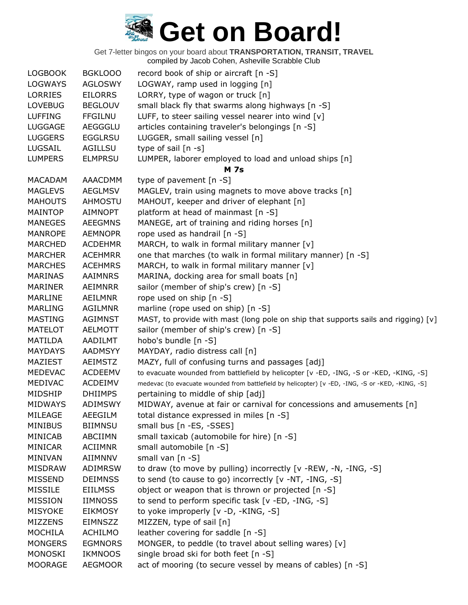| <b>LOGBOOK</b> | <b>BGKLOOO</b> | record book of ship or aircraft [n -S]                                                            |
|----------------|----------------|---------------------------------------------------------------------------------------------------|
| <b>LOGWAYS</b> | <b>AGLOSWY</b> | LOGWAY, ramp used in logging [n]                                                                  |
| LORRIES        | <b>EILORRS</b> | LORRY, type of wagon or truck [n]                                                                 |
| <b>LOVEBUG</b> | <b>BEGLOUV</b> | small black fly that swarms along highways [n -S]                                                 |
| <b>LUFFING</b> | <b>FFGILNU</b> | LUFF, to steer sailing vessel nearer into wind $[v]$                                              |
| <b>LUGGAGE</b> | <b>AEGGGLU</b> | articles containing traveler's belongings [n -S]                                                  |
| <b>LUGGERS</b> | <b>EGGLRSU</b> | LUGGER, small sailing vessel [n]                                                                  |
| LUGSAIL        | <b>AGILLSU</b> | type of sail $[n -s]$                                                                             |
| <b>LUMPERS</b> | <b>ELMPRSU</b> | LUMPER, laborer employed to load and unload ships [n]                                             |
|                |                | <b>M</b> 7s                                                                                       |
| <b>MACADAM</b> | AAACDMM        | type of pavement $[n - S]$                                                                        |
| <b>MAGLEVS</b> | <b>AEGLMSV</b> | MAGLEV, train using magnets to move above tracks [n]                                              |
| <b>MAHOUTS</b> | <b>AHMOSTU</b> | MAHOUT, keeper and driver of elephant [n]                                                         |
| MAINTOP        | AIMNOPT        | platform at head of mainmast [n -S]                                                               |
| <b>MANEGES</b> | <b>AEEGMNS</b> | MANEGE, art of training and riding horses [n]                                                     |
| <b>MANROPE</b> | <b>AEMNOPR</b> | rope used as handrail [n -S]                                                                      |
| <b>MARCHED</b> | <b>ACDEHMR</b> | MARCH, to walk in formal military manner [v]                                                      |
| <b>MARCHER</b> | <b>ACEHMRR</b> | one that marches (to walk in formal military manner) [n -S]                                       |
| <b>MARCHES</b> | <b>ACEHMRS</b> | MARCH, to walk in formal military manner [v]                                                      |
| MARINAS        | AAIMNRS        | MARINA, docking area for small boats [n]                                                          |
| <b>MARINER</b> | <b>AEIMNRR</b> | sailor (member of ship's crew) [n -S]                                                             |
| MARLINE        | AEILMNR        | rope used on ship [n -S]                                                                          |
| <b>MARLING</b> | <b>AGILMNR</b> | marline (rope used on ship) [n -S]                                                                |
| <b>MASTING</b> | <b>AGIMNST</b> | MAST, to provide with mast (long pole on ship that supports sails and rigging) [v]                |
| <b>MATELOT</b> | AELMOTT        | sailor (member of ship's crew) [n -S]                                                             |
| MATILDA        | AADILMT        | hobo's bundle [n -S]                                                                              |
| <b>MAYDAYS</b> | <b>AADMSYY</b> | MAYDAY, radio distress call [n]                                                                   |
| MAZIEST        | <b>AEIMSTZ</b> | MAZY, full of confusing turns and passages [adj]                                                  |
| <b>MEDEVAC</b> | <b>ACDEEMV</b> | to evacuate wounded from battlefield by helicopter [v -ED, -ING, -S or -KED, -KING, -S]           |
| MEDIVAC        | <b>ACDEIMV</b> | medevac (to evacuate wounded from battlefield by helicopter) [v -ED, -ING, -S or -KED, -KING, -S] |
| MIDSHIP        | <b>DHIIMPS</b> | pertaining to middle of ship [adj]                                                                |
| <b>MIDWAYS</b> | <b>ADIMSWY</b> | MIDWAY, avenue at fair or carnival for concessions and amusements [n]                             |
| MILEAGE        | AEEGILM        | total distance expressed in miles [n -S]                                                          |
| <b>MINIBUS</b> | <b>BIIMNSU</b> | small bus [n -ES, -SSES]                                                                          |
| MINICAB        | ABCIIMN        | small taxicab (automobile for hire) [n -S]                                                        |
| MINICAR        | <b>ACIIMNR</b> | small automobile [n -S]                                                                           |
| MINIVAN        | AIIMNNV        | small van [n -S]                                                                                  |
| <b>MISDRAW</b> | <b>ADIMRSW</b> | to draw (to move by pulling) incorrectly [v -REW, -N, -ING, -S]                                   |
| <b>MISSEND</b> | <b>DEIMNSS</b> | to send (to cause to go) incorrectly [v -NT, -ING, -S]                                            |
| <b>MISSILE</b> | <b>EIILMSS</b> | object or weapon that is thrown or projected [n -S]                                               |
| <b>MISSION</b> | <b>IIMNOSS</b> | to send to perform specific task [v -ED, -ING, -S]                                                |
| <b>MISYOKE</b> | <b>EIKMOSY</b> | to yoke improperly [v -D, -KING, -S]                                                              |
| <b>MIZZENS</b> | <b>EIMNSZZ</b> | MIZZEN, type of sail [n]                                                                          |
| <b>MOCHILA</b> | <b>ACHILMO</b> | leather covering for saddle [n -S]                                                                |
| <b>MONGERS</b> | <b>EGMNORS</b> | MONGER, to peddle (to travel about selling wares) [v]                                             |
| <b>MONOSKI</b> | <b>IKMNOOS</b> | single broad ski for both feet [n -S]                                                             |
| <b>MOORAGE</b> | <b>AEGMOOR</b> | act of mooring (to secure vessel by means of cables) [n -S]                                       |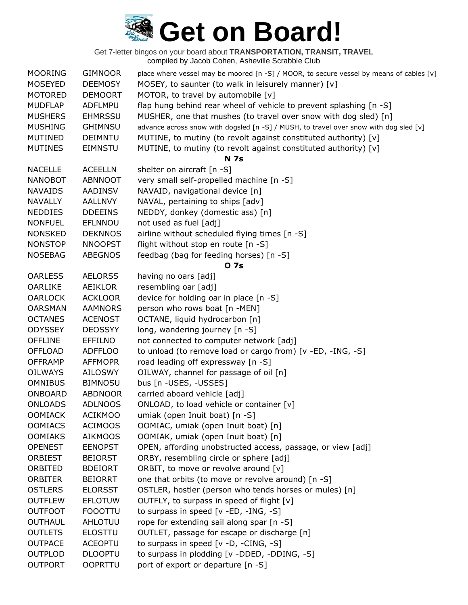| <b>MOSEYED</b><br><b>DEEMOSY</b><br>MOSEY, to saunter (to walk in leisurely manner) [v]<br><b>MOTORED</b><br>MOTOR, to travel by automobile [v]<br><b>DEMOORT</b><br><b>MUDFLAP</b><br>flap hung behind rear wheel of vehicle to prevent splashing [n -S]<br>ADFLMPU<br><b>MUSHERS</b><br>MUSHER, one that mushes (to travel over snow with dog sled) [n]<br><b>EHMRSSU</b><br><b>MUSHING</b><br><b>GHIMNSU</b><br>advance across snow with dogsled [n -S] / MUSH, to travel over snow with dog sled [v]<br>MUTINE, to mutiny (to revolt against constituted authority) [v]<br><b>MUTINED</b><br><b>DEIMNTU</b><br>MUTINE, to mutiny (to revolt against constituted authority) [v]<br><b>MUTINES</b><br><b>EIMNSTU</b><br><b>N</b> 7s<br><b>ACEELLN</b><br><b>NACELLE</b><br>shelter on aircraft [n -S]<br><b>ABNNOOT</b><br>very small self-propelled machine [n -S]<br><b>NANOBOT</b><br>NAVAID, navigational device [n]<br><b>NAVAIDS</b><br>AADINSV<br>NAVAL, pertaining to ships [adv]<br><b>NAVALLY</b><br><b>AALLNVY</b><br>NEDDY, donkey (domestic ass) [n]<br><b>NEDDIES</b><br><b>DDEEINS</b><br>not used as fuel [adj]<br><b>NONFUEL</b><br>EFLNNOU<br><b>NONSKED</b><br><b>DEKNNOS</b><br>airline without scheduled flying times [n -S]<br><b>NNOOPST</b><br>flight without stop en route [n -S]<br><b>NONSTOP</b><br><b>ABEGNOS</b><br>feedbag (bag for feeding horses) [n -S]<br><b>NOSEBAG</b><br>0 7s<br><b>AELORSS</b><br><b>OARLESS</b><br>having no oars [adj]<br>resembling oar [adj]<br><b>OARLIKE</b><br>AEIKLOR<br><b>OARLOCK</b><br>device for holding oar in place [n -S]<br><b>ACKLOOR</b><br>person who rows boat [n -MEN]<br><b>OARSMAN</b><br><b>AAMNORS</b><br><b>OCTANES</b><br><b>ACENOST</b><br>OCTANE, liquid hydrocarbon [n]<br><b>ODYSSEY</b><br><b>DEOSSYY</b><br>long, wandering journey [n -S]<br>not connected to computer network [adj]<br><b>OFFLINE</b><br><b>EFFILNO</b><br>to unload (to remove load or cargo from) [v -ED, -ING, -S]<br><b>OFFLOAD</b><br><b>ADFFLOO</b><br>road leading off expressway [n -S]<br><b>OFFRAMP</b><br><b>AFFMOPR</b><br>OILWAY, channel for passage of oil [n]<br><b>OILWAYS</b><br>AILOSWY<br>bus [n -USES, -USSES]<br><b>OMNIBUS</b><br><b>BIMNOSU</b><br>carried aboard vehicle [adj]<br><b>ONBOARD</b><br><b>ABDNOOR</b><br><b>ONLOADS</b><br><b>ADLNOOS</b><br>ONLOAD, to load vehicle or container [v]<br><b>OOMIACK</b><br><b>ACIKMOO</b><br>umiak (open Inuit boat) [n -S]<br>OOMIAC, umiak (open Inuit boat) [n]<br><b>OOMIACS</b><br><b>ACIMOOS</b><br><b>OOMIAKS</b><br><b>AIKMOOS</b><br>OOMIAK, umiak (open Inuit boat) [n]<br>OPEN, affording unobstructed access, passage, or view [adj]<br><b>OPENEST</b><br><b>EENOPST</b><br>ORBY, resembling circle or sphere [adj]<br><b>ORBIEST</b><br><b>BEIORST</b><br>ORBITED<br>ORBIT, to move or revolve around [v]<br><b>BDEIORT</b><br>one that orbits (to move or revolve around) [n -S]<br><b>ORBITER</b><br><b>BEIORRT</b><br>OSTLER, hostler (person who tends horses or mules) [n]<br><b>OSTLERS</b><br><b>ELORSST</b><br><b>OUTFLEW</b><br><b>EFLOTUW</b><br>OUTFLY, to surpass in speed of flight [v]<br>to surpass in speed [v -ED, -ING, -S]<br><b>OUTFOOT</b><br><b>FOOOTTU</b><br>rope for extending sail along spar [n -S]<br><b>OUTHAUL</b><br>AHLOTUU<br><b>OUTLETS</b><br><b>ELOSTTU</b><br>OUTLET, passage for escape or discharge [n]<br>to surpass in speed [v -D, -CING, -S]<br><b>OUTPACE</b><br><b>ACEOPTU</b><br>to surpass in plodding [v -DDED, -DDING, -S]<br><b>OUTPLOD</b><br><b>DLOOPTU</b> | <b>MOORING</b> | <b>GIMNOOR</b> | place where vessel may be moored [n -S] / MOOR, to secure vessel by means of cables [v] |
|-----------------------------------------------------------------------------------------------------------------------------------------------------------------------------------------------------------------------------------------------------------------------------------------------------------------------------------------------------------------------------------------------------------------------------------------------------------------------------------------------------------------------------------------------------------------------------------------------------------------------------------------------------------------------------------------------------------------------------------------------------------------------------------------------------------------------------------------------------------------------------------------------------------------------------------------------------------------------------------------------------------------------------------------------------------------------------------------------------------------------------------------------------------------------------------------------------------------------------------------------------------------------------------------------------------------------------------------------------------------------------------------------------------------------------------------------------------------------------------------------------------------------------------------------------------------------------------------------------------------------------------------------------------------------------------------------------------------------------------------------------------------------------------------------------------------------------------------------------------------------------------------------------------------------------------------------------------------------------------------------------------------------------------------------------------------------------------------------------------------------------------------------------------------------------------------------------------------------------------------------------------------------------------------------------------------------------------------------------------------------------------------------------------------------------------------------------------------------------------------------------------------------------------------------------------------------------------------------------------------------------------------------------------------------------------------------------------------------------------------------------------------------------------------------------------------------------------------------------------------------------------------------------------------------------------------------------------------------------------------------------------------------------------------------------------------------------------------------------------------------------------------------------------------------------------------------------------------------------------------------------------------------------------------------------------------------------------------------------------------------------------------------------------------------------------------------------------------------------------------------------------------------------------------------------------------|----------------|----------------|-----------------------------------------------------------------------------------------|
|                                                                                                                                                                                                                                                                                                                                                                                                                                                                                                                                                                                                                                                                                                                                                                                                                                                                                                                                                                                                                                                                                                                                                                                                                                                                                                                                                                                                                                                                                                                                                                                                                                                                                                                                                                                                                                                                                                                                                                                                                                                                                                                                                                                                                                                                                                                                                                                                                                                                                                                                                                                                                                                                                                                                                                                                                                                                                                                                                                                                                                                                                                                                                                                                                                                                                                                                                                                                                                                                                                                                                                 |                |                |                                                                                         |
|                                                                                                                                                                                                                                                                                                                                                                                                                                                                                                                                                                                                                                                                                                                                                                                                                                                                                                                                                                                                                                                                                                                                                                                                                                                                                                                                                                                                                                                                                                                                                                                                                                                                                                                                                                                                                                                                                                                                                                                                                                                                                                                                                                                                                                                                                                                                                                                                                                                                                                                                                                                                                                                                                                                                                                                                                                                                                                                                                                                                                                                                                                                                                                                                                                                                                                                                                                                                                                                                                                                                                                 |                |                |                                                                                         |
|                                                                                                                                                                                                                                                                                                                                                                                                                                                                                                                                                                                                                                                                                                                                                                                                                                                                                                                                                                                                                                                                                                                                                                                                                                                                                                                                                                                                                                                                                                                                                                                                                                                                                                                                                                                                                                                                                                                                                                                                                                                                                                                                                                                                                                                                                                                                                                                                                                                                                                                                                                                                                                                                                                                                                                                                                                                                                                                                                                                                                                                                                                                                                                                                                                                                                                                                                                                                                                                                                                                                                                 |                |                |                                                                                         |
|                                                                                                                                                                                                                                                                                                                                                                                                                                                                                                                                                                                                                                                                                                                                                                                                                                                                                                                                                                                                                                                                                                                                                                                                                                                                                                                                                                                                                                                                                                                                                                                                                                                                                                                                                                                                                                                                                                                                                                                                                                                                                                                                                                                                                                                                                                                                                                                                                                                                                                                                                                                                                                                                                                                                                                                                                                                                                                                                                                                                                                                                                                                                                                                                                                                                                                                                                                                                                                                                                                                                                                 |                |                |                                                                                         |
|                                                                                                                                                                                                                                                                                                                                                                                                                                                                                                                                                                                                                                                                                                                                                                                                                                                                                                                                                                                                                                                                                                                                                                                                                                                                                                                                                                                                                                                                                                                                                                                                                                                                                                                                                                                                                                                                                                                                                                                                                                                                                                                                                                                                                                                                                                                                                                                                                                                                                                                                                                                                                                                                                                                                                                                                                                                                                                                                                                                                                                                                                                                                                                                                                                                                                                                                                                                                                                                                                                                                                                 |                |                |                                                                                         |
|                                                                                                                                                                                                                                                                                                                                                                                                                                                                                                                                                                                                                                                                                                                                                                                                                                                                                                                                                                                                                                                                                                                                                                                                                                                                                                                                                                                                                                                                                                                                                                                                                                                                                                                                                                                                                                                                                                                                                                                                                                                                                                                                                                                                                                                                                                                                                                                                                                                                                                                                                                                                                                                                                                                                                                                                                                                                                                                                                                                                                                                                                                                                                                                                                                                                                                                                                                                                                                                                                                                                                                 |                |                |                                                                                         |
|                                                                                                                                                                                                                                                                                                                                                                                                                                                                                                                                                                                                                                                                                                                                                                                                                                                                                                                                                                                                                                                                                                                                                                                                                                                                                                                                                                                                                                                                                                                                                                                                                                                                                                                                                                                                                                                                                                                                                                                                                                                                                                                                                                                                                                                                                                                                                                                                                                                                                                                                                                                                                                                                                                                                                                                                                                                                                                                                                                                                                                                                                                                                                                                                                                                                                                                                                                                                                                                                                                                                                                 |                |                |                                                                                         |
|                                                                                                                                                                                                                                                                                                                                                                                                                                                                                                                                                                                                                                                                                                                                                                                                                                                                                                                                                                                                                                                                                                                                                                                                                                                                                                                                                                                                                                                                                                                                                                                                                                                                                                                                                                                                                                                                                                                                                                                                                                                                                                                                                                                                                                                                                                                                                                                                                                                                                                                                                                                                                                                                                                                                                                                                                                                                                                                                                                                                                                                                                                                                                                                                                                                                                                                                                                                                                                                                                                                                                                 |                |                |                                                                                         |
|                                                                                                                                                                                                                                                                                                                                                                                                                                                                                                                                                                                                                                                                                                                                                                                                                                                                                                                                                                                                                                                                                                                                                                                                                                                                                                                                                                                                                                                                                                                                                                                                                                                                                                                                                                                                                                                                                                                                                                                                                                                                                                                                                                                                                                                                                                                                                                                                                                                                                                                                                                                                                                                                                                                                                                                                                                                                                                                                                                                                                                                                                                                                                                                                                                                                                                                                                                                                                                                                                                                                                                 |                |                |                                                                                         |
|                                                                                                                                                                                                                                                                                                                                                                                                                                                                                                                                                                                                                                                                                                                                                                                                                                                                                                                                                                                                                                                                                                                                                                                                                                                                                                                                                                                                                                                                                                                                                                                                                                                                                                                                                                                                                                                                                                                                                                                                                                                                                                                                                                                                                                                                                                                                                                                                                                                                                                                                                                                                                                                                                                                                                                                                                                                                                                                                                                                                                                                                                                                                                                                                                                                                                                                                                                                                                                                                                                                                                                 |                |                |                                                                                         |
|                                                                                                                                                                                                                                                                                                                                                                                                                                                                                                                                                                                                                                                                                                                                                                                                                                                                                                                                                                                                                                                                                                                                                                                                                                                                                                                                                                                                                                                                                                                                                                                                                                                                                                                                                                                                                                                                                                                                                                                                                                                                                                                                                                                                                                                                                                                                                                                                                                                                                                                                                                                                                                                                                                                                                                                                                                                                                                                                                                                                                                                                                                                                                                                                                                                                                                                                                                                                                                                                                                                                                                 |                |                |                                                                                         |
|                                                                                                                                                                                                                                                                                                                                                                                                                                                                                                                                                                                                                                                                                                                                                                                                                                                                                                                                                                                                                                                                                                                                                                                                                                                                                                                                                                                                                                                                                                                                                                                                                                                                                                                                                                                                                                                                                                                                                                                                                                                                                                                                                                                                                                                                                                                                                                                                                                                                                                                                                                                                                                                                                                                                                                                                                                                                                                                                                                                                                                                                                                                                                                                                                                                                                                                                                                                                                                                                                                                                                                 |                |                |                                                                                         |
|                                                                                                                                                                                                                                                                                                                                                                                                                                                                                                                                                                                                                                                                                                                                                                                                                                                                                                                                                                                                                                                                                                                                                                                                                                                                                                                                                                                                                                                                                                                                                                                                                                                                                                                                                                                                                                                                                                                                                                                                                                                                                                                                                                                                                                                                                                                                                                                                                                                                                                                                                                                                                                                                                                                                                                                                                                                                                                                                                                                                                                                                                                                                                                                                                                                                                                                                                                                                                                                                                                                                                                 |                |                |                                                                                         |
|                                                                                                                                                                                                                                                                                                                                                                                                                                                                                                                                                                                                                                                                                                                                                                                                                                                                                                                                                                                                                                                                                                                                                                                                                                                                                                                                                                                                                                                                                                                                                                                                                                                                                                                                                                                                                                                                                                                                                                                                                                                                                                                                                                                                                                                                                                                                                                                                                                                                                                                                                                                                                                                                                                                                                                                                                                                                                                                                                                                                                                                                                                                                                                                                                                                                                                                                                                                                                                                                                                                                                                 |                |                |                                                                                         |
|                                                                                                                                                                                                                                                                                                                                                                                                                                                                                                                                                                                                                                                                                                                                                                                                                                                                                                                                                                                                                                                                                                                                                                                                                                                                                                                                                                                                                                                                                                                                                                                                                                                                                                                                                                                                                                                                                                                                                                                                                                                                                                                                                                                                                                                                                                                                                                                                                                                                                                                                                                                                                                                                                                                                                                                                                                                                                                                                                                                                                                                                                                                                                                                                                                                                                                                                                                                                                                                                                                                                                                 |                |                |                                                                                         |
|                                                                                                                                                                                                                                                                                                                                                                                                                                                                                                                                                                                                                                                                                                                                                                                                                                                                                                                                                                                                                                                                                                                                                                                                                                                                                                                                                                                                                                                                                                                                                                                                                                                                                                                                                                                                                                                                                                                                                                                                                                                                                                                                                                                                                                                                                                                                                                                                                                                                                                                                                                                                                                                                                                                                                                                                                                                                                                                                                                                                                                                                                                                                                                                                                                                                                                                                                                                                                                                                                                                                                                 |                |                |                                                                                         |
|                                                                                                                                                                                                                                                                                                                                                                                                                                                                                                                                                                                                                                                                                                                                                                                                                                                                                                                                                                                                                                                                                                                                                                                                                                                                                                                                                                                                                                                                                                                                                                                                                                                                                                                                                                                                                                                                                                                                                                                                                                                                                                                                                                                                                                                                                                                                                                                                                                                                                                                                                                                                                                                                                                                                                                                                                                                                                                                                                                                                                                                                                                                                                                                                                                                                                                                                                                                                                                                                                                                                                                 |                |                |                                                                                         |
|                                                                                                                                                                                                                                                                                                                                                                                                                                                                                                                                                                                                                                                                                                                                                                                                                                                                                                                                                                                                                                                                                                                                                                                                                                                                                                                                                                                                                                                                                                                                                                                                                                                                                                                                                                                                                                                                                                                                                                                                                                                                                                                                                                                                                                                                                                                                                                                                                                                                                                                                                                                                                                                                                                                                                                                                                                                                                                                                                                                                                                                                                                                                                                                                                                                                                                                                                                                                                                                                                                                                                                 |                |                |                                                                                         |
|                                                                                                                                                                                                                                                                                                                                                                                                                                                                                                                                                                                                                                                                                                                                                                                                                                                                                                                                                                                                                                                                                                                                                                                                                                                                                                                                                                                                                                                                                                                                                                                                                                                                                                                                                                                                                                                                                                                                                                                                                                                                                                                                                                                                                                                                                                                                                                                                                                                                                                                                                                                                                                                                                                                                                                                                                                                                                                                                                                                                                                                                                                                                                                                                                                                                                                                                                                                                                                                                                                                                                                 |                |                |                                                                                         |
|                                                                                                                                                                                                                                                                                                                                                                                                                                                                                                                                                                                                                                                                                                                                                                                                                                                                                                                                                                                                                                                                                                                                                                                                                                                                                                                                                                                                                                                                                                                                                                                                                                                                                                                                                                                                                                                                                                                                                                                                                                                                                                                                                                                                                                                                                                                                                                                                                                                                                                                                                                                                                                                                                                                                                                                                                                                                                                                                                                                                                                                                                                                                                                                                                                                                                                                                                                                                                                                                                                                                                                 |                |                |                                                                                         |
|                                                                                                                                                                                                                                                                                                                                                                                                                                                                                                                                                                                                                                                                                                                                                                                                                                                                                                                                                                                                                                                                                                                                                                                                                                                                                                                                                                                                                                                                                                                                                                                                                                                                                                                                                                                                                                                                                                                                                                                                                                                                                                                                                                                                                                                                                                                                                                                                                                                                                                                                                                                                                                                                                                                                                                                                                                                                                                                                                                                                                                                                                                                                                                                                                                                                                                                                                                                                                                                                                                                                                                 |                |                |                                                                                         |
|                                                                                                                                                                                                                                                                                                                                                                                                                                                                                                                                                                                                                                                                                                                                                                                                                                                                                                                                                                                                                                                                                                                                                                                                                                                                                                                                                                                                                                                                                                                                                                                                                                                                                                                                                                                                                                                                                                                                                                                                                                                                                                                                                                                                                                                                                                                                                                                                                                                                                                                                                                                                                                                                                                                                                                                                                                                                                                                                                                                                                                                                                                                                                                                                                                                                                                                                                                                                                                                                                                                                                                 |                |                |                                                                                         |
|                                                                                                                                                                                                                                                                                                                                                                                                                                                                                                                                                                                                                                                                                                                                                                                                                                                                                                                                                                                                                                                                                                                                                                                                                                                                                                                                                                                                                                                                                                                                                                                                                                                                                                                                                                                                                                                                                                                                                                                                                                                                                                                                                                                                                                                                                                                                                                                                                                                                                                                                                                                                                                                                                                                                                                                                                                                                                                                                                                                                                                                                                                                                                                                                                                                                                                                                                                                                                                                                                                                                                                 |                |                |                                                                                         |
|                                                                                                                                                                                                                                                                                                                                                                                                                                                                                                                                                                                                                                                                                                                                                                                                                                                                                                                                                                                                                                                                                                                                                                                                                                                                                                                                                                                                                                                                                                                                                                                                                                                                                                                                                                                                                                                                                                                                                                                                                                                                                                                                                                                                                                                                                                                                                                                                                                                                                                                                                                                                                                                                                                                                                                                                                                                                                                                                                                                                                                                                                                                                                                                                                                                                                                                                                                                                                                                                                                                                                                 |                |                |                                                                                         |
|                                                                                                                                                                                                                                                                                                                                                                                                                                                                                                                                                                                                                                                                                                                                                                                                                                                                                                                                                                                                                                                                                                                                                                                                                                                                                                                                                                                                                                                                                                                                                                                                                                                                                                                                                                                                                                                                                                                                                                                                                                                                                                                                                                                                                                                                                                                                                                                                                                                                                                                                                                                                                                                                                                                                                                                                                                                                                                                                                                                                                                                                                                                                                                                                                                                                                                                                                                                                                                                                                                                                                                 |                |                |                                                                                         |
|                                                                                                                                                                                                                                                                                                                                                                                                                                                                                                                                                                                                                                                                                                                                                                                                                                                                                                                                                                                                                                                                                                                                                                                                                                                                                                                                                                                                                                                                                                                                                                                                                                                                                                                                                                                                                                                                                                                                                                                                                                                                                                                                                                                                                                                                                                                                                                                                                                                                                                                                                                                                                                                                                                                                                                                                                                                                                                                                                                                                                                                                                                                                                                                                                                                                                                                                                                                                                                                                                                                                                                 |                |                |                                                                                         |
|                                                                                                                                                                                                                                                                                                                                                                                                                                                                                                                                                                                                                                                                                                                                                                                                                                                                                                                                                                                                                                                                                                                                                                                                                                                                                                                                                                                                                                                                                                                                                                                                                                                                                                                                                                                                                                                                                                                                                                                                                                                                                                                                                                                                                                                                                                                                                                                                                                                                                                                                                                                                                                                                                                                                                                                                                                                                                                                                                                                                                                                                                                                                                                                                                                                                                                                                                                                                                                                                                                                                                                 |                |                |                                                                                         |
|                                                                                                                                                                                                                                                                                                                                                                                                                                                                                                                                                                                                                                                                                                                                                                                                                                                                                                                                                                                                                                                                                                                                                                                                                                                                                                                                                                                                                                                                                                                                                                                                                                                                                                                                                                                                                                                                                                                                                                                                                                                                                                                                                                                                                                                                                                                                                                                                                                                                                                                                                                                                                                                                                                                                                                                                                                                                                                                                                                                                                                                                                                                                                                                                                                                                                                                                                                                                                                                                                                                                                                 |                |                |                                                                                         |
|                                                                                                                                                                                                                                                                                                                                                                                                                                                                                                                                                                                                                                                                                                                                                                                                                                                                                                                                                                                                                                                                                                                                                                                                                                                                                                                                                                                                                                                                                                                                                                                                                                                                                                                                                                                                                                                                                                                                                                                                                                                                                                                                                                                                                                                                                                                                                                                                                                                                                                                                                                                                                                                                                                                                                                                                                                                                                                                                                                                                                                                                                                                                                                                                                                                                                                                                                                                                                                                                                                                                                                 |                |                |                                                                                         |
|                                                                                                                                                                                                                                                                                                                                                                                                                                                                                                                                                                                                                                                                                                                                                                                                                                                                                                                                                                                                                                                                                                                                                                                                                                                                                                                                                                                                                                                                                                                                                                                                                                                                                                                                                                                                                                                                                                                                                                                                                                                                                                                                                                                                                                                                                                                                                                                                                                                                                                                                                                                                                                                                                                                                                                                                                                                                                                                                                                                                                                                                                                                                                                                                                                                                                                                                                                                                                                                                                                                                                                 |                |                |                                                                                         |
|                                                                                                                                                                                                                                                                                                                                                                                                                                                                                                                                                                                                                                                                                                                                                                                                                                                                                                                                                                                                                                                                                                                                                                                                                                                                                                                                                                                                                                                                                                                                                                                                                                                                                                                                                                                                                                                                                                                                                                                                                                                                                                                                                                                                                                                                                                                                                                                                                                                                                                                                                                                                                                                                                                                                                                                                                                                                                                                                                                                                                                                                                                                                                                                                                                                                                                                                                                                                                                                                                                                                                                 |                |                |                                                                                         |
|                                                                                                                                                                                                                                                                                                                                                                                                                                                                                                                                                                                                                                                                                                                                                                                                                                                                                                                                                                                                                                                                                                                                                                                                                                                                                                                                                                                                                                                                                                                                                                                                                                                                                                                                                                                                                                                                                                                                                                                                                                                                                                                                                                                                                                                                                                                                                                                                                                                                                                                                                                                                                                                                                                                                                                                                                                                                                                                                                                                                                                                                                                                                                                                                                                                                                                                                                                                                                                                                                                                                                                 |                |                |                                                                                         |
|                                                                                                                                                                                                                                                                                                                                                                                                                                                                                                                                                                                                                                                                                                                                                                                                                                                                                                                                                                                                                                                                                                                                                                                                                                                                                                                                                                                                                                                                                                                                                                                                                                                                                                                                                                                                                                                                                                                                                                                                                                                                                                                                                                                                                                                                                                                                                                                                                                                                                                                                                                                                                                                                                                                                                                                                                                                                                                                                                                                                                                                                                                                                                                                                                                                                                                                                                                                                                                                                                                                                                                 |                |                |                                                                                         |
|                                                                                                                                                                                                                                                                                                                                                                                                                                                                                                                                                                                                                                                                                                                                                                                                                                                                                                                                                                                                                                                                                                                                                                                                                                                                                                                                                                                                                                                                                                                                                                                                                                                                                                                                                                                                                                                                                                                                                                                                                                                                                                                                                                                                                                                                                                                                                                                                                                                                                                                                                                                                                                                                                                                                                                                                                                                                                                                                                                                                                                                                                                                                                                                                                                                                                                                                                                                                                                                                                                                                                                 |                |                |                                                                                         |
|                                                                                                                                                                                                                                                                                                                                                                                                                                                                                                                                                                                                                                                                                                                                                                                                                                                                                                                                                                                                                                                                                                                                                                                                                                                                                                                                                                                                                                                                                                                                                                                                                                                                                                                                                                                                                                                                                                                                                                                                                                                                                                                                                                                                                                                                                                                                                                                                                                                                                                                                                                                                                                                                                                                                                                                                                                                                                                                                                                                                                                                                                                                                                                                                                                                                                                                                                                                                                                                                                                                                                                 |                |                |                                                                                         |
|                                                                                                                                                                                                                                                                                                                                                                                                                                                                                                                                                                                                                                                                                                                                                                                                                                                                                                                                                                                                                                                                                                                                                                                                                                                                                                                                                                                                                                                                                                                                                                                                                                                                                                                                                                                                                                                                                                                                                                                                                                                                                                                                                                                                                                                                                                                                                                                                                                                                                                                                                                                                                                                                                                                                                                                                                                                                                                                                                                                                                                                                                                                                                                                                                                                                                                                                                                                                                                                                                                                                                                 |                |                |                                                                                         |
|                                                                                                                                                                                                                                                                                                                                                                                                                                                                                                                                                                                                                                                                                                                                                                                                                                                                                                                                                                                                                                                                                                                                                                                                                                                                                                                                                                                                                                                                                                                                                                                                                                                                                                                                                                                                                                                                                                                                                                                                                                                                                                                                                                                                                                                                                                                                                                                                                                                                                                                                                                                                                                                                                                                                                                                                                                                                                                                                                                                                                                                                                                                                                                                                                                                                                                                                                                                                                                                                                                                                                                 |                |                |                                                                                         |
|                                                                                                                                                                                                                                                                                                                                                                                                                                                                                                                                                                                                                                                                                                                                                                                                                                                                                                                                                                                                                                                                                                                                                                                                                                                                                                                                                                                                                                                                                                                                                                                                                                                                                                                                                                                                                                                                                                                                                                                                                                                                                                                                                                                                                                                                                                                                                                                                                                                                                                                                                                                                                                                                                                                                                                                                                                                                                                                                                                                                                                                                                                                                                                                                                                                                                                                                                                                                                                                                                                                                                                 |                |                |                                                                                         |
|                                                                                                                                                                                                                                                                                                                                                                                                                                                                                                                                                                                                                                                                                                                                                                                                                                                                                                                                                                                                                                                                                                                                                                                                                                                                                                                                                                                                                                                                                                                                                                                                                                                                                                                                                                                                                                                                                                                                                                                                                                                                                                                                                                                                                                                                                                                                                                                                                                                                                                                                                                                                                                                                                                                                                                                                                                                                                                                                                                                                                                                                                                                                                                                                                                                                                                                                                                                                                                                                                                                                                                 |                |                |                                                                                         |
|                                                                                                                                                                                                                                                                                                                                                                                                                                                                                                                                                                                                                                                                                                                                                                                                                                                                                                                                                                                                                                                                                                                                                                                                                                                                                                                                                                                                                                                                                                                                                                                                                                                                                                                                                                                                                                                                                                                                                                                                                                                                                                                                                                                                                                                                                                                                                                                                                                                                                                                                                                                                                                                                                                                                                                                                                                                                                                                                                                                                                                                                                                                                                                                                                                                                                                                                                                                                                                                                                                                                                                 |                |                |                                                                                         |
|                                                                                                                                                                                                                                                                                                                                                                                                                                                                                                                                                                                                                                                                                                                                                                                                                                                                                                                                                                                                                                                                                                                                                                                                                                                                                                                                                                                                                                                                                                                                                                                                                                                                                                                                                                                                                                                                                                                                                                                                                                                                                                                                                                                                                                                                                                                                                                                                                                                                                                                                                                                                                                                                                                                                                                                                                                                                                                                                                                                                                                                                                                                                                                                                                                                                                                                                                                                                                                                                                                                                                                 |                |                |                                                                                         |
|                                                                                                                                                                                                                                                                                                                                                                                                                                                                                                                                                                                                                                                                                                                                                                                                                                                                                                                                                                                                                                                                                                                                                                                                                                                                                                                                                                                                                                                                                                                                                                                                                                                                                                                                                                                                                                                                                                                                                                                                                                                                                                                                                                                                                                                                                                                                                                                                                                                                                                                                                                                                                                                                                                                                                                                                                                                                                                                                                                                                                                                                                                                                                                                                                                                                                                                                                                                                                                                                                                                                                                 |                |                |                                                                                         |
|                                                                                                                                                                                                                                                                                                                                                                                                                                                                                                                                                                                                                                                                                                                                                                                                                                                                                                                                                                                                                                                                                                                                                                                                                                                                                                                                                                                                                                                                                                                                                                                                                                                                                                                                                                                                                                                                                                                                                                                                                                                                                                                                                                                                                                                                                                                                                                                                                                                                                                                                                                                                                                                                                                                                                                                                                                                                                                                                                                                                                                                                                                                                                                                                                                                                                                                                                                                                                                                                                                                                                                 |                |                |                                                                                         |
|                                                                                                                                                                                                                                                                                                                                                                                                                                                                                                                                                                                                                                                                                                                                                                                                                                                                                                                                                                                                                                                                                                                                                                                                                                                                                                                                                                                                                                                                                                                                                                                                                                                                                                                                                                                                                                                                                                                                                                                                                                                                                                                                                                                                                                                                                                                                                                                                                                                                                                                                                                                                                                                                                                                                                                                                                                                                                                                                                                                                                                                                                                                                                                                                                                                                                                                                                                                                                                                                                                                                                                 |                |                |                                                                                         |
|                                                                                                                                                                                                                                                                                                                                                                                                                                                                                                                                                                                                                                                                                                                                                                                                                                                                                                                                                                                                                                                                                                                                                                                                                                                                                                                                                                                                                                                                                                                                                                                                                                                                                                                                                                                                                                                                                                                                                                                                                                                                                                                                                                                                                                                                                                                                                                                                                                                                                                                                                                                                                                                                                                                                                                                                                                                                                                                                                                                                                                                                                                                                                                                                                                                                                                                                                                                                                                                                                                                                                                 |                |                |                                                                                         |
|                                                                                                                                                                                                                                                                                                                                                                                                                                                                                                                                                                                                                                                                                                                                                                                                                                                                                                                                                                                                                                                                                                                                                                                                                                                                                                                                                                                                                                                                                                                                                                                                                                                                                                                                                                                                                                                                                                                                                                                                                                                                                                                                                                                                                                                                                                                                                                                                                                                                                                                                                                                                                                                                                                                                                                                                                                                                                                                                                                                                                                                                                                                                                                                                                                                                                                                                                                                                                                                                                                                                                                 | <b>OUTPORT</b> | <b>OOPRTTU</b> | port of export or departure [n -S]                                                      |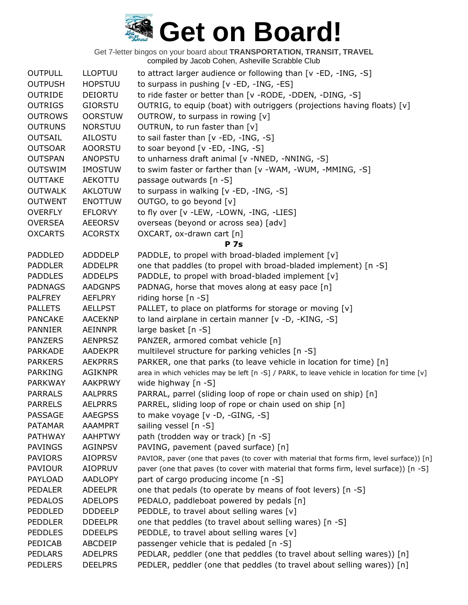| <b>OUTPULL</b> | <b>LLOPTUU</b> | to attract larger audience or following than [v -ED, -ING, -S]                              |
|----------------|----------------|---------------------------------------------------------------------------------------------|
| <b>OUTPUSH</b> | <b>HOPSTUU</b> | to surpass in pushing [v -ED, -ING, -ES]                                                    |
| <b>OUTRIDE</b> | <b>DEIORTU</b> | to ride faster or better than [v -RODE, -DDEN, -DING, -S]                                   |
| <b>OUTRIGS</b> | <b>GIORSTU</b> | OUTRIG, to equip (boat) with outriggers (projections having floats) [v]                     |
| <b>OUTROWS</b> | <b>OORSTUW</b> | OUTROW, to surpass in rowing [v]                                                            |
| <b>OUTRUNS</b> | <b>NORSTUU</b> | OUTRUN, to run faster than [v]                                                              |
| <b>OUTSAIL</b> | AILOSTU        | to sail faster than [v -ED, -ING, -S]                                                       |
| <b>OUTSOAR</b> | <b>AOORSTU</b> | to soar beyond [v -ED, -ING, -S]                                                            |
| <b>OUTSPAN</b> | <b>ANOPSTU</b> | to unharness draft animal [v -NNED, -NNING, -S]                                             |
| <b>OUTSWIM</b> | <b>IMOSTUW</b> | to swim faster or farther than [v -WAM, -WUM, -MMING, -S]                                   |
| <b>OUTTAKE</b> | AEKOTTU        | passage outwards [n -S]                                                                     |
| <b>OUTWALK</b> | <b>AKLOTUW</b> | to surpass in walking [v -ED, -ING, -S]                                                     |
| <b>OUTWENT</b> | <b>ENOTTUW</b> | OUTGO, to go beyond [v]                                                                     |
| <b>OVERFLY</b> | <b>EFLORVY</b> | to fly over [v -LEW, -LOWN, -ING, -LIES]                                                    |
| <b>OVERSEA</b> | <b>AEEORSV</b> | overseas (beyond or across sea) [adv]                                                       |
| <b>OXCARTS</b> | <b>ACORSTX</b> | OXCART, ox-drawn cart [n]                                                                   |
|                |                | <b>P</b> 7s                                                                                 |
| <b>PADDLED</b> | ADDDELP        | PADDLE, to propel with broad-bladed implement [v]                                           |
| <b>PADDLER</b> | <b>ADDELPR</b> | one that paddles (to propel with broad-bladed implement) [n -S]                             |
| <b>PADDLES</b> | <b>ADDELPS</b> | PADDLE, to propel with broad-bladed implement [v]                                           |
| <b>PADNAGS</b> | <b>AADGNPS</b> | PADNAG, horse that moves along at easy pace [n]                                             |
| <b>PALFREY</b> | <b>AEFLPRY</b> | riding horse $[n - S]$                                                                      |
| <b>PALLETS</b> | <b>AELLPST</b> | PALLET, to place on platforms for storage or moving [v]                                     |
| <b>PANCAKE</b> | <b>AACEKNP</b> | to land airplane in certain manner [v -D, -KING, -S]                                        |
| <b>PANNIER</b> | AEINNPR        | large basket [n -S]                                                                         |
| <b>PANZERS</b> | <b>AENPRSZ</b> | PANZER, armored combat vehicle [n]                                                          |
| <b>PARKADE</b> | <b>AADEKPR</b> | multilevel structure for parking vehicles [n -S]                                            |
| <b>PARKERS</b> | <b>AEKPRRS</b> | PARKER, one that parks (to leave vehicle in location for time) [n]                          |
| <b>PARKING</b> | <b>AGIKNPR</b> | area in which vehicles may be left [n -S] / PARK, to leave vehicle in location for time [v] |
| <b>PARKWAY</b> | <b>AAKPRWY</b> | wide highway [n -S]                                                                         |
| <b>PARRALS</b> | <b>AALPRRS</b> | PARRAL, parrel (sliding loop of rope or chain used on ship) [n]                             |
| <b>PARRELS</b> | <b>AELPRRS</b> | PARREL, sliding loop of rope or chain used on ship [n]                                      |
| <b>PASSAGE</b> | <b>AAEGPSS</b> | to make voyage [v -D, -GING, -S]                                                            |
| <b>PATAMAR</b> | <b>AAAMPRT</b> | sailing vessel [n -S]                                                                       |
| <b>PATHWAY</b> | <b>AAHPTWY</b> | path (trodden way or track) [n -S]                                                          |
| <b>PAVINGS</b> | <b>AGINPSV</b> | PAVING, pavement (paved surface) [n]                                                        |
| <b>PAVIORS</b> | <b>AIOPRSV</b> | PAVIOR, paver (one that paves (to cover with material that forms firm, level surface)) [n]  |
| <b>PAVIOUR</b> | <b>AIOPRUV</b> | paver (one that paves (to cover with material that forms firm, level surface)) [n -S]       |
| PAYLOAD        | <b>AADLOPY</b> | part of cargo producing income [n -S]                                                       |
| <b>PEDALER</b> | <b>ADEELPR</b> | one that pedals (to operate by means of foot levers) [n -S]                                 |
| <b>PEDALOS</b> | <b>ADELOPS</b> | PEDALO, paddleboat powered by pedals [n]                                                    |
| PEDDLED        | <b>DDDEELP</b> | PEDDLE, to travel about selling wares [v]                                                   |
| <b>PEDDLER</b> | <b>DDEELPR</b> | one that peddles (to travel about selling wares) [n -S]                                     |
| <b>PEDDLES</b> | <b>DDEELPS</b> | PEDDLE, to travel about selling wares [v]                                                   |
| PEDICAB        | ABCDEIP        | passenger vehicle that is pedaled [n -S]                                                    |
| <b>PEDLARS</b> | <b>ADELPRS</b> | PEDLAR, peddler (one that peddles (to travel about selling wares)) [n]                      |
| <b>PEDLERS</b> | <b>DEELPRS</b> | PEDLER, peddler (one that peddles (to travel about selling wares)) [n]                      |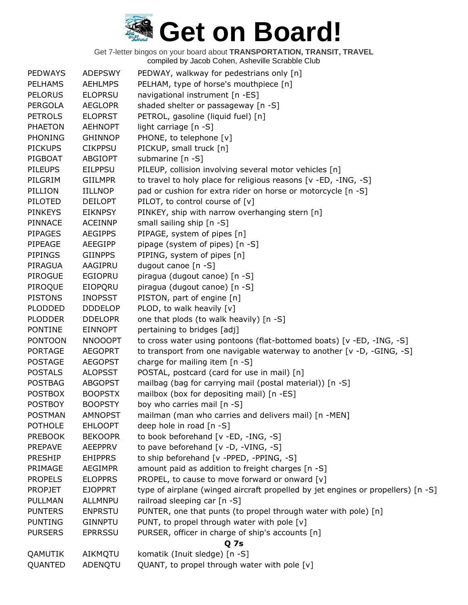| <b>PEDWAYS</b> | <b>ADEPSWY</b> | PEDWAY, walkway for pedestrians only [n]                                         |
|----------------|----------------|----------------------------------------------------------------------------------|
| <b>PELHAMS</b> | <b>AEHLMPS</b> | PELHAM, type of horse's mouthpiece [n]                                           |
| <b>PELORUS</b> | <b>ELOPRSU</b> | navigational instrument [n -ES]                                                  |
| <b>PERGOLA</b> | <b>AEGLOPR</b> | shaded shelter or passageway [n -S]                                              |
| <b>PETROLS</b> | <b>ELOPRST</b> | PETROL, gasoline (liquid fuel) [n]                                               |
| <b>PHAETON</b> | <b>AEHNOPT</b> | light carriage [n -S]                                                            |
| <b>PHONING</b> | <b>GHINNOP</b> | PHONE, to telephone [v]                                                          |
| <b>PICKUPS</b> | <b>CIKPPSU</b> | PICKUP, small truck [n]                                                          |
| PIGBOAT        | <b>ABGIOPT</b> | submarine [n -S]                                                                 |
| <b>PILEUPS</b> | <b>EILPPSU</b> | PILEUP, collision involving several motor vehicles [n]                           |
| PILGRIM        | <b>GIILMPR</b> | to travel to holy place for religious reasons [v -ED, -ING, -S]                  |
| PILLION        | <b>IILLNOP</b> | pad or cushion for extra rider on horse or motorcycle [n -S]                     |
| PILOTED        | <b>DEILOPT</b> | PILOT, to control course of [v]                                                  |
| <b>PINKEYS</b> | <b>EIKNPSY</b> | PINKEY, ship with narrow overhanging stern [n]                                   |
| <b>PINNACE</b> | <b>ACEINNP</b> | small sailing ship [n -S]                                                        |
| <b>PIPAGES</b> | <b>AEGIPPS</b> | PIPAGE, system of pipes [n]                                                      |
| PIPEAGE        | AEEGIPP        | pipage (system of pipes) [n -S]                                                  |
| <b>PIPINGS</b> | <b>GIINPPS</b> | PIPING, system of pipes [n]                                                      |
| PIRAGUA        | AAGIPRU        | dugout canoe [n -S]                                                              |
| <b>PIROGUE</b> | <b>EGIOPRU</b> | piragua (dugout canoe) [n -S]                                                    |
| PIROQUE        | EIOPQRU        | piragua (dugout canoe) [n -S]                                                    |
| <b>PISTONS</b> | <b>INOPSST</b> | PISTON, part of engine [n]                                                       |
| <b>PLODDED</b> | <b>DDDELOP</b> | PLOD, to walk heavily [v]                                                        |
| <b>PLODDER</b> | <b>DDELOPR</b> | one that plods (to walk heavily) [n -S]                                          |
| <b>PONTINE</b> | <b>EINNOPT</b> | pertaining to bridges [adj]                                                      |
| <b>PONTOON</b> | <b>NNOOOPT</b> | to cross water using pontoons (flat-bottomed boats) [v -ED, -ING, -S]            |
| <b>PORTAGE</b> | <b>AEGOPRT</b> | to transport from one navigable waterway to another [v -D, -GING, -S]            |
| <b>POSTAGE</b> | <b>AEGOPST</b> | charge for mailing item [n -S]                                                   |
| <b>POSTALS</b> | <b>ALOPSST</b> | POSTAL, postcard (card for use in mail) [n]                                      |
| <b>POSTBAG</b> | <b>ABGOPST</b> | mailbag (bag for carrying mail (postal material)) [n -S]                         |
| <b>POSTBOX</b> | <b>BOOPSTX</b> | mailbox (box for depositing mail) [n -ES]                                        |
| <b>POSTBOY</b> | <b>BOOPSTY</b> | boy who carries mail [n -S]                                                      |
| <b>POSTMAN</b> | <b>AMNOPST</b> | mailman (man who carries and delivers mail) [n -MEN]                             |
| <b>POTHOLE</b> | <b>EHLOOPT</b> | deep hole in road [n -S]                                                         |
| <b>PREBOOK</b> | <b>BEKOOPR</b> | to book beforehand [v -ED, -ING, -S]                                             |
| <b>PREPAVE</b> | <b>AEEPPRV</b> | to pave beforehand [v -D, -VING, -S]                                             |
| <b>PRESHIP</b> | <b>EHIPPRS</b> | to ship beforehand [v -PPED, -PPING, -S]                                         |
| PRIMAGE        | <b>AEGIMPR</b> | amount paid as addition to freight charges [n -S]                                |
| <b>PROPELS</b> | <b>ELOPPRS</b> | PROPEL, to cause to move forward or onward [v]                                   |
| <b>PROPJET</b> | <b>EJOPPRT</b> | type of airplane (winged aircraft propelled by jet engines or propellers) [n -S] |
| PULLMAN        | ALLMNPU        | railroad sleeping car [n -S]                                                     |
| <b>PUNTERS</b> | <b>ENPRSTU</b> | PUNTER, one that punts (to propel through water with pole) [n]                   |
| <b>PUNTING</b> | <b>GINNPTU</b> | PUNT, to propel through water with pole [v]                                      |
| <b>PURSERS</b> | <b>EPRRSSU</b> | PURSER, officer in charge of ship's accounts [n]                                 |
|                |                | <b>Q7s</b>                                                                       |
| QAMUTIK        | AIKMQTU        | komatik (Inuit sledge) [n -S]                                                    |
| QUANTED        | ADENQTU        | QUANT, to propel through water with pole [v]                                     |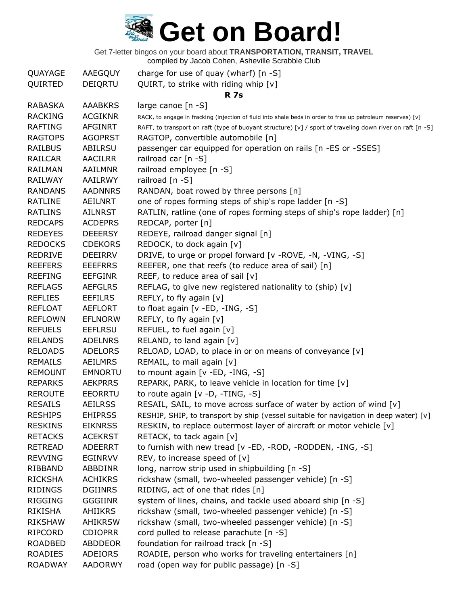Get 7-letter bingos on your board about **TRANSPORTATION, TRANSIT, TRAVEL**

compiled by Jacob Cohen, Asheville Scrabble Club

| QUAYAGE        | AAEGQUY        | charge for use of quay (wharf) $[n -S]$                                                                     |
|----------------|----------------|-------------------------------------------------------------------------------------------------------------|
| QUIRTED        | DEIQRTU        | QUIRT, to strike with riding whip [v]                                                                       |
|                |                | <b>R</b> 7s                                                                                                 |
| <b>RABASKA</b> | <b>AAABKRS</b> | large canoe [n -S]                                                                                          |
| <b>RACKING</b> | <b>ACGIKNR</b> | RACK, to engage in fracking (injection of fluid into shale beds in order to free up petroleum reserves) [v] |
| <b>RAFTING</b> | <b>AFGINRT</b> | RAFT, to transport on raft (type of buoyant structure) [v] / sport of traveling down river on raft [n -S]   |
| <b>RAGTOPS</b> | <b>AGOPRST</b> | RAGTOP, convertible automobile [n]                                                                          |
| <b>RAILBUS</b> | ABILRSU        | passenger car equipped for operation on rails [n -ES or -SSES]                                              |
| RAILCAR        | AACILRR        | railroad car [n -S]                                                                                         |
| RAILMAN        | AAILMNR        | railroad employee [n -S]                                                                                    |
| <b>RAILWAY</b> | <b>AAILRWY</b> | railroad [n -S]                                                                                             |
| <b>RANDANS</b> | <b>AADNNRS</b> | RANDAN, boat rowed by three persons [n]                                                                     |
| <b>RATLINE</b> | AEILNRT        | one of ropes forming steps of ship's rope ladder [n -S]                                                     |
| <b>RATLINS</b> | <b>AILNRST</b> | RATLIN, ratline (one of ropes forming steps of ship's rope ladder) [n]                                      |
| <b>REDCAPS</b> | <b>ACDEPRS</b> | REDCAP, porter [n]                                                                                          |
| <b>REDEYES</b> | <b>DEEERSY</b> | REDEYE, railroad danger signal [n]                                                                          |
| <b>REDOCKS</b> | <b>CDEKORS</b> | REDOCK, to dock again [v]                                                                                   |
| <b>REDRIVE</b> | <b>DEEIRRV</b> | DRIVE, to urge or propel forward [v -ROVE, -N, -VING, -S]                                                   |
| <b>REEFERS</b> | <b>EEEFRRS</b> | REEFER, one that reefs (to reduce area of sail) [n]                                                         |
| <b>REEFING</b> | <b>EEFGINR</b> | REEF, to reduce area of sail $[v]$                                                                          |
| <b>REFLAGS</b> | <b>AEFGLRS</b> | REFLAG, to give new registered nationality to (ship) [v]                                                    |
| <b>REFLIES</b> | <b>EEFILRS</b> | REFLY, to fly again [v]                                                                                     |
| <b>REFLOAT</b> | <b>AEFLORT</b> | to float again [v -ED, -ING, -S]                                                                            |
| <b>REFLOWN</b> | <b>EFLNORW</b> | REFLY, to fly again [v]                                                                                     |
| <b>REFUELS</b> | <b>EEFLRSU</b> | REFUEL, to fuel again [v]                                                                                   |
| <b>RELANDS</b> | <b>ADELNRS</b> | RELAND, to land again [v]                                                                                   |
| <b>RELOADS</b> | <b>ADELORS</b> | RELOAD, LOAD, to place in or on means of conveyance [v]                                                     |
| <b>REMAILS</b> | <b>AEILMRS</b> | REMAIL, to mail again [v]                                                                                   |
| <b>REMOUNT</b> | <b>EMNORTU</b> | to mount again [v -ED, -ING, -S]                                                                            |
| <b>REPARKS</b> | <b>AEKPRRS</b> | REPARK, PARK, to leave vehicle in location for time [v]                                                     |
| <b>REROUTE</b> | <b>EEORRTU</b> | to route again $[v -D, -TING, -S]$                                                                          |
| <b>RESAILS</b> | <b>AEILRSS</b> | RESAIL, SAIL, to move across surface of water by action of wind [v]                                         |
| <b>RESHIPS</b> | <b>EHIPRSS</b> | RESHIP, SHIP, to transport by ship (vessel suitable for navigation in deep water) [v]                       |
| <b>RESKINS</b> | <b>EIKNRSS</b> | RESKIN, to replace outermost layer of aircraft or motor vehicle [v]                                         |
| <b>RETACKS</b> | <b>ACEKRST</b> | RETACK, to tack again [v]                                                                                   |
| <b>RETREAD</b> | <b>ADEERRT</b> | to furnish with new tread [v -ED, -ROD, -RODDEN, -ING, -S]                                                  |
| <b>REVVING</b> | <b>EGINRVV</b> | REV, to increase speed of $[v]$                                                                             |
| RIBBAND        | ABBDINR        | long, narrow strip used in shipbuilding [n -S]                                                              |
| <b>RICKSHA</b> | <b>ACHIKRS</b> | rickshaw (small, two-wheeled passenger vehicle) [n -S]                                                      |
| <b>RIDINGS</b> | <b>DGIINRS</b> | RIDING, act of one that rides [n]                                                                           |
| <b>RIGGING</b> | <b>GGGIINR</b> | system of lines, chains, and tackle used aboard ship [n -S]                                                 |
| RIKISHA        | <b>AHIIKRS</b> | rickshaw (small, two-wheeled passenger vehicle) [n -S]                                                      |
| <b>RIKSHAW</b> | <b>AHIKRSW</b> | rickshaw (small, two-wheeled passenger vehicle) [n -S]                                                      |
| RIPCORD        | <b>CDIOPRR</b> | cord pulled to release parachute [n -S]                                                                     |
| <b>ROADBED</b> | <b>ABDDEOR</b> | foundation for railroad track [n -S]                                                                        |
| <b>ROADIES</b> | ADEIORS        | ROADIE, person who works for traveling entertainers [n]                                                     |
| <b>ROADWAY</b> | <b>AADORWY</b> | road (open way for public passage) [n -S]                                                                   |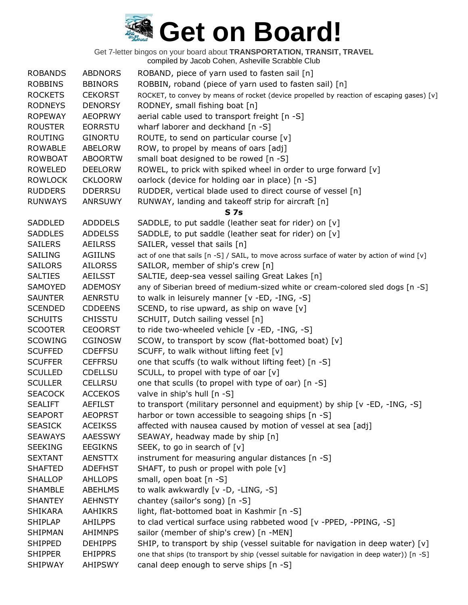| <b>ROBANDS</b> | <b>ABDNORS</b> | ROBAND, piece of yarn used to fasten sail [n]                                               |
|----------------|----------------|---------------------------------------------------------------------------------------------|
| <b>ROBBINS</b> | <b>BBINORS</b> | ROBBIN, roband (piece of yarn used to fasten sail) [n]                                      |
| <b>ROCKETS</b> | <b>CEKORST</b> | ROCKET, to convey by means of rocket (device propelled by reaction of escaping gases) [v]   |
| <b>RODNEYS</b> | <b>DENORSY</b> | RODNEY, small fishing boat [n]                                                              |
| <b>ROPEWAY</b> | <b>AEOPRWY</b> | aerial cable used to transport freight [n -S]                                               |
| <b>ROUSTER</b> | <b>EORRSTU</b> | wharf laborer and deckhand [n -S]                                                           |
| <b>ROUTING</b> | <b>GINORTU</b> | ROUTE, to send on particular course $[v]$                                                   |
| <b>ROWABLE</b> | <b>ABELORW</b> | ROW, to propel by means of oars [adj]                                                       |
| <b>ROWBOAT</b> | <b>ABOORTW</b> | small boat designed to be rowed [n -S]                                                      |
| <b>ROWELED</b> | <b>DEELORW</b> | ROWEL, to prick with spiked wheel in order to urge forward [v]                              |
| <b>ROWLOCK</b> | <b>CKLOORW</b> | oarlock (device for holding oar in place) [n -S]                                            |
| <b>RUDDERS</b> | <b>DDERRSU</b> | RUDDER, vertical blade used to direct course of vessel [n]                                  |
| <b>RUNWAYS</b> | <b>ANRSUWY</b> | RUNWAY, landing and takeoff strip for aircraft [n]                                          |
|                |                | <b>S7s</b>                                                                                  |
| SADDLED        | <b>ADDDELS</b> | SADDLE, to put saddle (leather seat for rider) on [v]                                       |
| <b>SADDLES</b> | <b>ADDELSS</b> | SADDLE, to put saddle (leather seat for rider) on [v]                                       |
| <b>SAILERS</b> | <b>AEILRSS</b> | SAILER, vessel that sails [n]                                                               |
| SAILING        | <b>AGIILNS</b> | act of one that sails [n -S] / SAIL, to move across surface of water by action of wind [v]  |
| <b>SAILORS</b> | <b>AILORSS</b> | SAILOR, member of ship's crew [n]                                                           |
| <b>SALTIES</b> | <b>AEILSST</b> | SALTIE, deep-sea vessel sailing Great Lakes [n]                                             |
| SAMOYED        | <b>ADEMOSY</b> | any of Siberian breed of medium-sized white or cream-colored sled dogs [n -S]               |
| <b>SAUNTER</b> | <b>AENRSTU</b> | to walk in leisurely manner [v -ED, -ING, -S]                                               |
| <b>SCENDED</b> | <b>CDDEENS</b> | SCEND, to rise upward, as ship on wave [v]                                                  |
| <b>SCHUITS</b> | <b>CHISSTU</b> | SCHUIT, Dutch sailing vessel [n]                                                            |
| <b>SCOOTER</b> | <b>CEOORST</b> | to ride two-wheeled vehicle [v -ED, -ING, -S]                                               |
| <b>SCOWING</b> | <b>CGINOSW</b> | SCOW, to transport by scow (flat-bottomed boat) [v]                                         |
| <b>SCUFFED</b> | <b>CDEFFSU</b> | SCUFF, to walk without lifting feet [v]                                                     |
| <b>SCUFFER</b> | <b>CEFFRSU</b> | one that scuffs (to walk without lifting feet) [n -S]                                       |
| <b>SCULLED</b> | <b>CDELLSU</b> | SCULL, to propel with type of oar [v]                                                       |
| <b>SCULLER</b> | <b>CELLRSU</b> | one that sculls (to propel with type of oar) [n -S]                                         |
| <b>SEACOCK</b> | <b>ACCEKOS</b> | valve in ship's hull [n -S]                                                                 |
| <b>SEALIFT</b> | <b>AEFILST</b> | to transport (military personnel and equipment) by ship [v -ED, -ING, -S]                   |
| <b>SEAPORT</b> | <b>AEOPRST</b> | harbor or town accessible to seagoing ships [n -S]                                          |
| <b>SEASICK</b> | <b>ACEIKSS</b> | affected with nausea caused by motion of vessel at sea [adj]                                |
| <b>SEAWAYS</b> | AAESSWY        | SEAWAY, headway made by ship [n]                                                            |
| <b>SEEKING</b> | <b>EEGIKNS</b> | SEEK, to go in search of [v]                                                                |
| <b>SEXTANT</b> | <b>AENSTTX</b> | instrument for measuring angular distances [n -S]                                           |
| <b>SHAFTED</b> | <b>ADEFHST</b> | SHAFT, to push or propel with pole [v]                                                      |
| <b>SHALLOP</b> | <b>AHLLOPS</b> | small, open boat [n -S]                                                                     |
| <b>SHAMBLE</b> | <b>ABEHLMS</b> | to walk awkwardly $[v -D, -LING, -S]$                                                       |
| <b>SHANTEY</b> | <b>AEHNSTY</b> | chantey (sailor's song) [n -S]                                                              |
| <b>SHIKARA</b> | <b>AAHIKRS</b> | light, flat-bottomed boat in Kashmir [n -S]                                                 |
| <b>SHIPLAP</b> | <b>AHILPPS</b> | to clad vertical surface using rabbeted wood [v -PPED, -PPING, -S]                          |
| <b>SHIPMAN</b> | <b>AHIMNPS</b> | sailor (member of ship's crew) [n -MEN]                                                     |
| <b>SHIPPED</b> | <b>DEHIPPS</b> | SHIP, to transport by ship (vessel suitable for navigation in deep water) [v]               |
| <b>SHIPPER</b> | <b>EHIPPRS</b> | one that ships (to transport by ship (vessel suitable for navigation in deep water)) [n -S] |
| <b>SHIPWAY</b> | <b>AHIPSWY</b> | canal deep enough to serve ships [n -S]                                                     |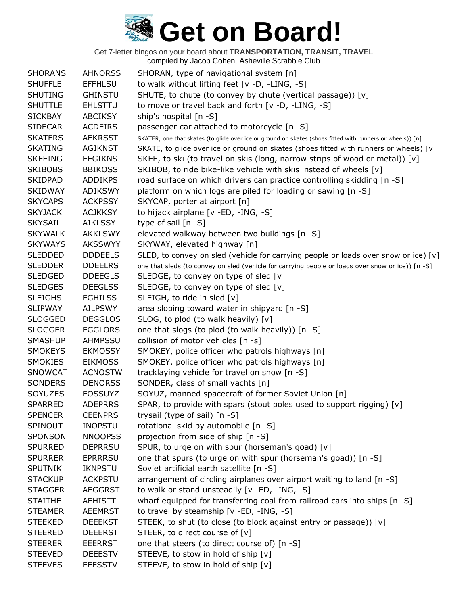| <b>SHORANS</b> | <b>AHNORSS</b> | SHORAN, type of navigational system [n]                                                                   |
|----------------|----------------|-----------------------------------------------------------------------------------------------------------|
| <b>SHUFFLE</b> | <b>EFFHLSU</b> | to walk without lifting feet [v -D, -LING, -S]                                                            |
| <b>SHUTING</b> | <b>GHINSTU</b> | SHUTE, to chute (to convey by chute (vertical passage)) [v]                                               |
| <b>SHUTTLE</b> | <b>EHLSTTU</b> | to move or travel back and forth [v -D, -LING, -S]                                                        |
| <b>SICKBAY</b> | <b>ABCIKSY</b> | ship's hospital [n -S]                                                                                    |
| <b>SIDECAR</b> | <b>ACDEIRS</b> | passenger car attached to motorcycle [n -S]                                                               |
| <b>SKATERS</b> | <b>AEKRSST</b> | SKATER, one that skates (to glide over ice or ground on skates (shoes fitted with runners or wheels)) [n] |
| <b>SKATING</b> | <b>AGIKNST</b> | SKATE, to glide over ice or ground on skates (shoes fitted with runners or wheels) [v]                    |
| <b>SKEEING</b> | <b>EEGIKNS</b> | SKEE, to ski (to travel on skis (long, narrow strips of wood or metal)) [v]                               |
| <b>SKIBOBS</b> | <b>BBIKOSS</b> | SKIBOB, to ride bike-like vehicle with skis instead of wheels [v]                                         |
| <b>SKIDPAD</b> | <b>ADDIKPS</b> | road surface on which drivers can practice controlling skidding [n -S]                                    |
| <b>SKIDWAY</b> | <b>ADIKSWY</b> | platform on which logs are piled for loading or sawing [n -S]                                             |
| <b>SKYCAPS</b> | <b>ACKPSSY</b> | SKYCAP, porter at airport [n]                                                                             |
| <b>SKYJACK</b> | <b>ACJKKSY</b> | to hijack airplane [v -ED, -ING, -S]                                                                      |
| <b>SKYSAIL</b> | AIKLSSY        | type of sail $[n -S]$                                                                                     |
| <b>SKYWALK</b> | <b>AKKLSWY</b> | elevated walkway between two buildings [n -S]                                                             |
| <b>SKYWAYS</b> | <b>AKSSWYY</b> | SKYWAY, elevated highway [n]                                                                              |
| <b>SLEDDED</b> | <b>DDDEELS</b> | SLED, to convey on sled (vehicle for carrying people or loads over snow or ice) [v]                       |
| <b>SLEDDER</b> | <b>DDEELRS</b> | one that sleds (to convey on sled (vehicle for carrying people or loads over snow or ice)) [n -S]         |
| <b>SLEDGED</b> | <b>DDEEGLS</b> | SLEDGE, to convey on type of sled $[v]$                                                                   |
| <b>SLEDGES</b> | <b>DEEGLSS</b> | SLEDGE, to convey on type of sled $[v]$                                                                   |
| <b>SLEIGHS</b> | <b>EGHILSS</b> | SLEIGH, to ride in sled [v]                                                                               |
| <b>SLIPWAY</b> | <b>AILPSWY</b> | area sloping toward water in shipyard [n -S]                                                              |
| <b>SLOGGED</b> | <b>DEGGLOS</b> | SLOG, to plod (to walk heavily) [v]                                                                       |
| <b>SLOGGER</b> | <b>EGGLORS</b> | one that slogs (to plod (to walk heavily)) [n -S]                                                         |
| <b>SMASHUP</b> | AHMPSSU        | collision of motor vehicles [n -s]                                                                        |
| <b>SMOKEYS</b> | <b>EKMOSSY</b> | SMOKEY, police officer who patrols highways [n]                                                           |
| <b>SMOKIES</b> | <b>EIKMOSS</b> | SMOKEY, police officer who patrols highways [n]                                                           |
| <b>SNOWCAT</b> | <b>ACNOSTW</b> | tracklaying vehicle for travel on snow [n -S]                                                             |
| SONDERS        | <b>DENORSS</b> | SONDER, class of small yachts [n]                                                                         |
| SOYUZES        | <b>EOSSUYZ</b> | SOYUZ, manned spacecraft of former Soviet Union [n]                                                       |
| <b>SPARRED</b> | <b>ADEPRRS</b> | SPAR, to provide with spars (stout poles used to support rigging) [v]                                     |
| <b>SPENCER</b> | <b>CEENPRS</b> | trysail (type of sail) [n -S]                                                                             |
| SPINOUT        | <b>INOPSTU</b> | rotational skid by automobile [n -S]                                                                      |
| SPONSON        | <b>NNOOPSS</b> | projection from side of ship [n -S]                                                                       |
| <b>SPURRED</b> | <b>DEPRRSU</b> | SPUR, to urge on with spur (horseman's goad) [v]                                                          |
| <b>SPURRER</b> | <b>EPRRRSU</b> | one that spurs (to urge on with spur (horseman's goad)) [n -S]                                            |
| <b>SPUTNIK</b> | <b>IKNPSTU</b> | Soviet artificial earth satellite [n -S]                                                                  |
| <b>STACKUP</b> | <b>ACKPSTU</b> | arrangement of circling airplanes over airport waiting to land [n -S]                                     |
| <b>STAGGER</b> | <b>AEGGRST</b> | to walk or stand unsteadily [v -ED, -ING, -S]                                                             |
| <b>STAITHE</b> | <b>AEHISTT</b> | wharf equipped for transferring coal from railroad cars into ships [n -S]                                 |
| <b>STEAMER</b> | <b>AEEMRST</b> | to travel by steamship [v -ED, -ING, -S]                                                                  |
| <b>STEEKED</b> | <b>DEEEKST</b> | STEEK, to shut (to close (to block against entry or passage)) [v]                                         |
| <b>STEERED</b> | <b>DEEERST</b> | STEER, to direct course of [v]                                                                            |
| <b>STEERER</b> | <b>EEERRST</b> | one that steers (to direct course of) [n -S]                                                              |
| <b>STEEVED</b> | <b>DEEESTV</b> | STEEVE, to stow in hold of ship [v]                                                                       |
| <b>STEEVES</b> | <b>EEESSTV</b> | STEEVE, to stow in hold of ship [v]                                                                       |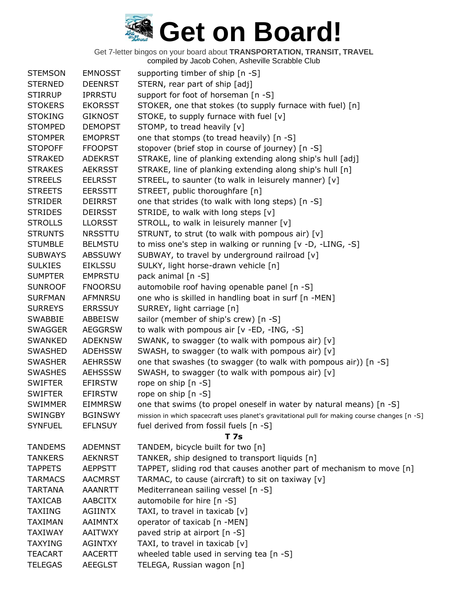| <b>STEMSON</b> | <b>EMNOSST</b> | supporting timber of ship [n -S]                                                              |
|----------------|----------------|-----------------------------------------------------------------------------------------------|
| <b>STERNED</b> | <b>DEENRST</b> | STERN, rear part of ship [adj]                                                                |
| <b>STIRRUP</b> | <b>IPRRSTU</b> | support for foot of horseman [n -S]                                                           |
| <b>STOKERS</b> | <b>EKORSST</b> | STOKER, one that stokes (to supply furnace with fuel) [n]                                     |
| <b>STOKING</b> | <b>GIKNOST</b> | STOKE, to supply furnace with fuel [v]                                                        |
| <b>STOMPED</b> | <b>DEMOPST</b> | STOMP, to tread heavily [v]                                                                   |
| <b>STOMPER</b> | <b>EMOPRST</b> | one that stomps (to tread heavily) [n -S]                                                     |
| <b>STOPOFF</b> | <b>FFOOPST</b> | stopover (brief stop in course of journey) [n -S]                                             |
| <b>STRAKED</b> | <b>ADEKRST</b> | STRAKE, line of planking extending along ship's hull [adj]                                    |
| <b>STRAKES</b> | <b>AEKRSST</b> | STRAKE, line of planking extending along ship's hull [n]                                      |
| <b>STREELS</b> | <b>EELRSST</b> | STREEL, to saunter (to walk in leisurely manner) [v]                                          |
| <b>STREETS</b> | <b>EERSSTT</b> | STREET, public thoroughfare [n]                                                               |
| <b>STRIDER</b> | <b>DEIRRST</b> | one that strides (to walk with long steps) [n -S]                                             |
| <b>STRIDES</b> | <b>DEIRSST</b> | STRIDE, to walk with long steps [v]                                                           |
| <b>STROLLS</b> | <b>LLORSST</b> | STROLL, to walk in leisurely manner [v]                                                       |
| <b>STRUNTS</b> | <b>NRSSTTU</b> | STRUNT, to strut (to walk with pompous air) [v]                                               |
| <b>STUMBLE</b> | <b>BELMSTU</b> | to miss one's step in walking or running [v -D, -LING, -S]                                    |
| <b>SUBWAYS</b> | <b>ABSSUWY</b> | SUBWAY, to travel by underground railroad [v]                                                 |
| <b>SULKIES</b> | <b>EIKLSSU</b> | SULKY, light horse-drawn vehicle [n]                                                          |
| <b>SUMPTER</b> | <b>EMPRSTU</b> | pack animal [n -S]                                                                            |
| <b>SUNROOF</b> | <b>FNOORSU</b> | automobile roof having openable panel [n -S]                                                  |
| <b>SURFMAN</b> | <b>AFMNRSU</b> | one who is skilled in handling boat in surf [n -MEN]                                          |
| <b>SURREYS</b> | <b>ERRSSUY</b> | SURREY, light carriage [n]                                                                    |
| <b>SWABBIE</b> | ABBEISW        | sailor (member of ship's crew) [n -S]                                                         |
| <b>SWAGGER</b> | <b>AEGGRSW</b> | to walk with pompous air [v -ED, -ING, -S]                                                    |
| SWANKED        | <b>ADEKNSW</b> | SWANK, to swagger (to walk with pompous air) [v]                                              |
| <b>SWASHED</b> | <b>ADEHSSW</b> | SWASH, to swagger (to walk with pompous air) [v]                                              |
| <b>SWASHER</b> | <b>AEHRSSW</b> | one that swashes (to swagger (to walk with pompous air)) [n -S]                               |
| <b>SWASHES</b> | <b>AEHSSSW</b> | SWASH, to swagger (to walk with pompous air) [v]                                              |
| <b>SWIFTER</b> | <b>EFIRSTW</b> | rope on ship [n -S]                                                                           |
| <b>SWIFTER</b> | <b>EFIRSTW</b> | rope on ship [n -S]                                                                           |
| <b>SWIMMER</b> | <b>EIMMRSW</b> | one that swims (to propel oneself in water by natural means) [n -S]                           |
| <b>SWINGBY</b> | <b>BGINSWY</b> | mission in which spacecraft uses planet's gravitational pull for making course changes [n -S] |
| <b>SYNFUEL</b> | <b>EFLNSUY</b> | fuel derived from fossil fuels [n -S]                                                         |
|                |                | <b>T7s</b>                                                                                    |
| <b>TANDEMS</b> | <b>ADEMNST</b> | TANDEM, bicycle built for two [n]                                                             |
| <b>TANKERS</b> | <b>AEKNRST</b> | TANKER, ship designed to transport liquids [n]                                                |
| <b>TAPPETS</b> | <b>AEPPSTT</b> | TAPPET, sliding rod that causes another part of mechanism to move [n]                         |
| <b>TARMACS</b> | <b>AACMRST</b> | TARMAC, to cause (aircraft) to sit on taxiway [v]                                             |
| <b>TARTANA</b> | <b>AAANRTT</b> | Mediterranean sailing vessel [n -S]                                                           |
| <b>TAXICAB</b> | AABCITX        | automobile for hire [n -S]                                                                    |
| <b>TAXIING</b> | <b>AGIINTX</b> | TAXI, to travel in taxicab [v]                                                                |
| <b>TAXIMAN</b> | <b>AAIMNTX</b> | operator of taxicab [n -MEN]                                                                  |
| <b>TAXIWAY</b> | AAITWXY        | paved strip at airport [n -S]                                                                 |
| <b>TAXYING</b> | <b>AGINTXY</b> | TAXI, to travel in taxicab [v]                                                                |
| <b>TEACART</b> | <b>AACERTT</b> | wheeled table used in serving tea [n -S]                                                      |
| <b>TELEGAS</b> | <b>AEEGLST</b> | TELEGA, Russian wagon [n]                                                                     |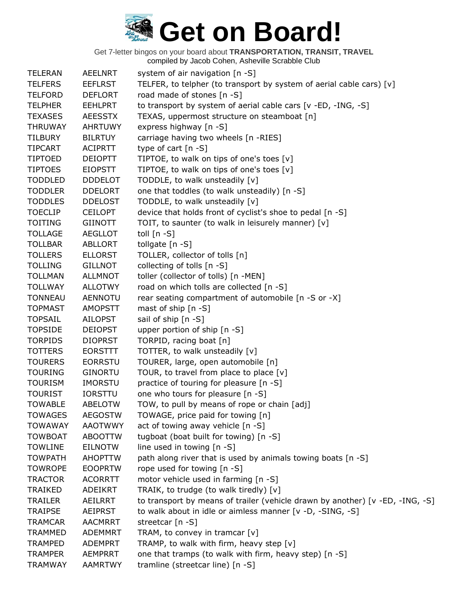| <b>TELERAN</b> | <b>AEELNRT</b> | system of air navigation [n -S]                                               |
|----------------|----------------|-------------------------------------------------------------------------------|
| <b>TELFERS</b> | <b>EEFLRST</b> | TELFER, to telpher (to transport by system of aerial cable cars) [v]          |
| <b>TELFORD</b> | <b>DEFLORT</b> | road made of stones [n -S]                                                    |
| <b>TELPHER</b> | <b>EEHLPRT</b> | to transport by system of aerial cable cars [v -ED, -ING, -S]                 |
| <b>TEXASES</b> | <b>AEESSTX</b> | TEXAS, uppermost structure on steamboat [n]                                   |
| <b>THRUWAY</b> | <b>AHRTUWY</b> | express highway [n -S]                                                        |
| <b>TILBURY</b> | <b>BILRTUY</b> | carriage having two wheels [n -RIES]                                          |
| <b>TIPCART</b> | <b>ACIPRTT</b> | type of cart $[n - S]$                                                        |
| <b>TIPTOED</b> | <b>DEIOPTT</b> | TIPTOE, to walk on tips of one's toes [v]                                     |
| <b>TIPTOES</b> | <b>EIOPSTT</b> | TIPTOE, to walk on tips of one's toes [v]                                     |
| <b>TODDLED</b> | <b>DDDELOT</b> | TODDLE, to walk unsteadily [v]                                                |
| <b>TODDLER</b> | <b>DDELORT</b> | one that toddles (to walk unsteadily) [n -S]                                  |
| <b>TODDLES</b> | <b>DDELOST</b> | TODDLE, to walk unsteadily [v]                                                |
| <b>TOECLIP</b> | <b>CEILOPT</b> | device that holds front of cyclist's shoe to pedal [n -S]                     |
| <b>TOITING</b> | <b>GIINOTT</b> | TOIT, to saunter (to walk in leisurely manner) [v]                            |
| <b>TOLLAGE</b> | <b>AEGLLOT</b> | toll $[n - S]$                                                                |
| <b>TOLLBAR</b> | <b>ABLLORT</b> | tollgate [n -S]                                                               |
| <b>TOLLERS</b> | <b>ELLORST</b> | TOLLER, collector of tolls [n]                                                |
| <b>TOLLING</b> | <b>GILLNOT</b> | collecting of tolls [n -S]                                                    |
| <b>TOLLMAN</b> | <b>ALLMNOT</b> | toller (collector of tolls) [n -MEN]                                          |
| <b>TOLLWAY</b> | <b>ALLOTWY</b> | road on which tolls are collected [n -S]                                      |
| <b>TONNEAU</b> | <b>AENNOTU</b> | rear seating compartment of automobile [n -S or -X]                           |
| <b>TOPMAST</b> | <b>AMOPSTT</b> | mast of ship [n -S]                                                           |
| <b>TOPSAIL</b> | <b>AILOPST</b> | sail of ship [n -S]                                                           |
| <b>TOPSIDE</b> | <b>DEIOPST</b> | upper portion of ship [n -S]                                                  |
| <b>TORPIDS</b> | <b>DIOPRST</b> | TORPID, racing boat [n]                                                       |
| <b>TOTTERS</b> | <b>EORSTTT</b> | TOTTER, to walk unsteadily [v]                                                |
| <b>TOURERS</b> | <b>EORRSTU</b> | TOURER, large, open automobile [n]                                            |
| <b>TOURING</b> | <b>GINORTU</b> | TOUR, to travel from place to place [v]                                       |
| <b>TOURISM</b> | <b>IMORSTU</b> | practice of touring for pleasure [n -S]                                       |
| <b>TOURIST</b> | <b>IORSTTU</b> | one who tours for pleasure [n -S]                                             |
| <b>TOWABLE</b> | <b>ABELOTW</b> | TOW, to pull by means of rope or chain [adj]                                  |
| <b>TOWAGES</b> | <b>AEGOSTW</b> | TOWAGE, price paid for towing [n]                                             |
| <b>TOWAWAY</b> | <b>AAOTWWY</b> | act of towing away vehicle [n -S]                                             |
| <b>TOWBOAT</b> | <b>ABOOTTW</b> | tugboat (boat built for towing) [n -S]                                        |
| <b>TOWLINE</b> | <b>EILNOTW</b> | line used in towing $[n - S]$                                                 |
| <b>TOWPATH</b> | <b>AHOPTTW</b> | path along river that is used by animals towing boats [n -S]                  |
| <b>TOWROPE</b> | <b>EOOPRTW</b> | rope used for towing [n -S]                                                   |
| <b>TRACTOR</b> | <b>ACORRTT</b> | motor vehicle used in farming [n -S]                                          |
| <b>TRAIKED</b> | ADEIKRT        | TRAIK, to trudge (to walk tiredly) [v]                                        |
| TRAILER        | AEILRRT        | to transport by means of trailer (vehicle drawn by another) [v -ED, -ING, -S] |
| <b>TRAIPSE</b> | <b>AEIPRST</b> | to walk about in idle or aimless manner [v -D, -SING, -S]                     |
| <b>TRAMCAR</b> | <b>AACMRRT</b> | streetcar [n -S]                                                              |
| <b>TRAMMED</b> | <b>ADEMMRT</b> | TRAM, to convey in tramcar $[v]$                                              |
| <b>TRAMPED</b> | <b>ADEMPRT</b> | TRAMP, to walk with firm, heavy step [v]                                      |
| <b>TRAMPER</b> | <b>AEMPRRT</b> | one that tramps (to walk with firm, heavy step) [n -S]                        |
| <b>TRAMWAY</b> | <b>AAMRTWY</b> | tramline (streetcar line) [n -S]                                              |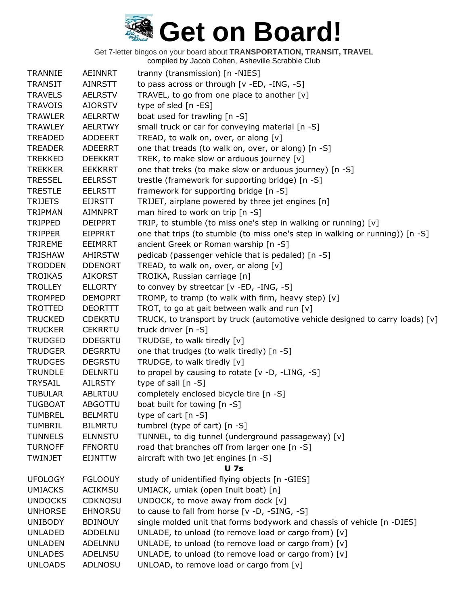Get 7-letter bingos on your board about **TRANSPORTATION, TRANSIT, TRAVEL**

compiled by Jacob Cohen, Asheville Scrabble Club

| <b>TRANNIE</b> | <b>AEINNRT</b> | tranny (transmission) [n -NIES]                                               |
|----------------|----------------|-------------------------------------------------------------------------------|
| <b>TRANSIT</b> | <b>AINRSTT</b> | to pass across or through [v -ED, -ING, -S]                                   |
| <b>TRAVELS</b> | <b>AELRSTV</b> | TRAVEL, to go from one place to another [v]                                   |
| <b>TRAVOIS</b> | <b>AIORSTV</b> | type of sled [n -ES]                                                          |
| <b>TRAWLER</b> | <b>AELRRTW</b> | boat used for trawling [n -S]                                                 |
| <b>TRAWLEY</b> | <b>AELRTWY</b> | small truck or car for conveying material [n -S]                              |
| <b>TREADED</b> | <b>ADDEERT</b> | TREAD, to walk on, over, or along [v]                                         |
| <b>TREADER</b> | <b>ADEERRT</b> | one that treads (to walk on, over, or along) [n -S]                           |
| <b>TREKKED</b> | <b>DEEKKRT</b> | TREK, to make slow or arduous journey [v]                                     |
| <b>TREKKER</b> | <b>EEKKRRT</b> | one that treks (to make slow or arduous journey) [n -S]                       |
| <b>TRESSEL</b> | <b>EELRSST</b> | trestle (framework for supporting bridge) [n -S]                              |
| <b>TRESTLE</b> | <b>EELRSTT</b> | framework for supporting bridge [n -S]                                        |
| <b>TRIJETS</b> | <b>EIJRSTT</b> | TRIJET, airplane powered by three jet engines [n]                             |
| <b>TRIPMAN</b> | <b>AIMNPRT</b> | man hired to work on trip [n -S]                                              |
| TRIPPED        | <b>DEIPPRT</b> | TRIP, to stumble (to miss one's step in walking or running) [v]               |
| <b>TRIPPER</b> | <b>EIPPRRT</b> | one that trips (to stumble (to miss one's step in walking or running)) [n -S] |
| <b>TRIREME</b> | <b>EEIMRRT</b> | ancient Greek or Roman warship [n -S]                                         |
| <b>TRISHAW</b> | <b>AHIRSTW</b> | pedicab (passenger vehicle that is pedaled) [n -S]                            |
| <b>TRODDEN</b> | <b>DDENORT</b> | TREAD, to walk on, over, or along [v]                                         |
| <b>TROIKAS</b> | AIKORST        | TROIKA, Russian carriage [n]                                                  |
| <b>TROLLEY</b> | <b>ELLORTY</b> | to convey by streetcar $[v - ED, -ING, -S]$                                   |
| <b>TROMPED</b> | <b>DEMOPRT</b> | TROMP, to tramp (to walk with firm, heavy step) [v]                           |
| <b>TROTTED</b> | <b>DEORTTT</b> | TROT, to go at gait between walk and run [v]                                  |
| <b>TRUCKED</b> | <b>CDEKRTU</b> | TRUCK, to transport by truck (automotive vehicle designed to carry loads) [v] |
| <b>TRUCKER</b> | <b>CEKRRTU</b> | truck driver [n -S]                                                           |
| <b>TRUDGED</b> | <b>DDEGRTU</b> | TRUDGE, to walk tiredly [v]                                                   |
| <b>TRUDGER</b> | <b>DEGRRTU</b> | one that trudges (to walk tiredly) [n -S]                                     |
| <b>TRUDGES</b> | <b>DEGRSTU</b> | TRUDGE, to walk tiredly [v]                                                   |
| <b>TRUNDLE</b> | <b>DELNRTU</b> | to propel by causing to rotate [v -D, -LING, -S]                              |
| <b>TRYSAIL</b> | <b>AILRSTY</b> | type of sail $[n -S]$                                                         |
| <b>TUBULAR</b> | <b>ABLRTUU</b> | completely enclosed bicycle tire [n -S]                                       |
| <b>TUGBOAT</b> | <b>ABGOTTU</b> | boat built for towing [n -S]                                                  |
| <b>TUMBREL</b> | <b>BELMRTU</b> | type of cart $[n - S]$                                                        |
| <b>TUMBRIL</b> | <b>BILMRTU</b> | tumbrel (type of cart) [n -S]                                                 |
| <b>TUNNELS</b> | <b>ELNNSTU</b> | TUNNEL, to dig tunnel (underground passageway) [v]                            |
| <b>TURNOFF</b> | <b>FFNORTU</b> | road that branches off from larger one [n -S]                                 |
| TWINJET        | <b>EIJNTTW</b> | aircraft with two jet engines [n -S]                                          |
|                |                | <b>U</b> 7s                                                                   |
| <b>UFOLOGY</b> | <b>FGLOOUY</b> | study of unidentified flying objects [n -GIES]                                |
| <b>UMIACKS</b> | <b>ACIKMSU</b> | UMIACK, umiak (open Inuit boat) [n]                                           |
| <b>UNDOCKS</b> | <b>CDKNOSU</b> | UNDOCK, to move away from dock [v]                                            |
| <b>UNHORSE</b> | <b>EHNORSU</b> | to cause to fall from horse [v -D, -SING, -S]                                 |
| <b>UNIBODY</b> | <b>BDINOUY</b> | single molded unit that forms bodywork and chassis of vehicle [n -DIES]       |
| <b>UNLADED</b> | ADDELNU        | UNLADE, to unload (to remove load or cargo from) [v]                          |
| <b>UNLADEN</b> | ADELNNU        | UNLADE, to unload (to remove load or cargo from) [v]                          |
| <b>UNLADES</b> | ADELNSU        | UNLADE, to unload (to remove load or cargo from) [v]                          |
| <b>UNLOADS</b> | <b>ADLNOSU</b> | UNLOAD, to remove load or cargo from [v]                                      |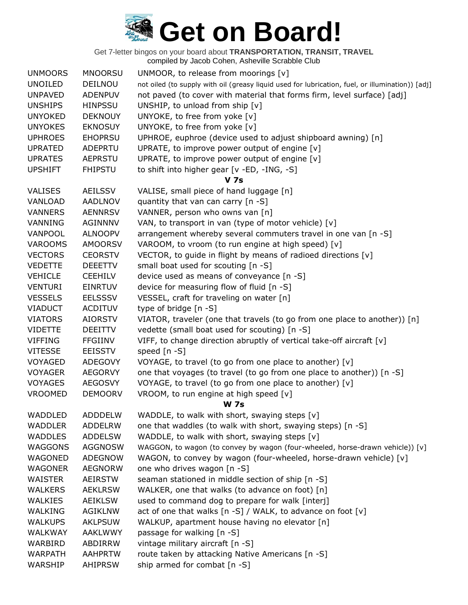| <b>UNMOORS</b> | <b>MNOORSU</b> | UNMOOR, to release from moorings $[v]$                                                           |
|----------------|----------------|--------------------------------------------------------------------------------------------------|
| <b>UNOILED</b> | DEILNOU        | not oiled (to supply with oil (greasy liquid used for lubrication, fuel, or illumination)) [adj] |
| <b>UNPAVED</b> | <b>ADENPUV</b> | not paved (to cover with material that forms firm, level surface) [adj]                          |
| <b>UNSHIPS</b> | <b>HINPSSU</b> | UNSHIP, to unload from ship [v]                                                                  |
| <b>UNYOKED</b> | <b>DEKNOUY</b> | UNYOKE, to free from yoke [v]                                                                    |
| <b>UNYOKES</b> | <b>EKNOSUY</b> | UNYOKE, to free from yoke [v]                                                                    |
| <b>UPHROES</b> | <b>EHOPRSU</b> | UPHROE, euphroe (device used to adjust shipboard awning) [n]                                     |
| <b>UPRATED</b> | <b>ADEPRTU</b> | UPRATE, to improve power output of engine [v]                                                    |
| <b>UPRATES</b> | <b>AEPRSTU</b> | UPRATE, to improve power output of engine [v]                                                    |
| <b>UPSHIFT</b> | <b>FHIPSTU</b> | to shift into higher gear [v -ED, -ING, -S]                                                      |
|                |                | <b>V</b> 7s                                                                                      |
| <b>VALISES</b> | <b>AEILSSV</b> | VALISE, small piece of hand luggage [n]                                                          |
| VANLOAD        | <b>AADLNOV</b> | quantity that van can carry [n -S]                                                               |
| <b>VANNERS</b> | <b>AENNRSV</b> | VANNER, person who owns van [n]                                                                  |
| VANNING        | <b>AGINNNV</b> | VAN, to transport in van (type of motor vehicle) [v]                                             |
| VANPOOL        | <b>ALNOOPV</b> | arrangement whereby several commuters travel in one van [n -S]                                   |
| <b>VAROOMS</b> | <b>AMOORSV</b> | VAROOM, to vroom (to run engine at high speed) [v]                                               |
| <b>VECTORS</b> | <b>CEORSTV</b> | VECTOR, to guide in flight by means of radioed directions [v]                                    |
| <b>VEDETTE</b> | <b>DEEETTV</b> | small boat used for scouting [n -S]                                                              |
| <b>VEHICLE</b> | <b>CEEHILV</b> | device used as means of conveyance [n -S]                                                        |
| <b>VENTURI</b> | <b>EINRTUV</b> | device for measuring flow of fluid [n -S]                                                        |
| <b>VESSELS</b> | <b>EELSSSV</b> | VESSEL, craft for traveling on water [n]                                                         |
| <b>VIADUCT</b> | <b>ACDITUV</b> | type of bridge [n -S]                                                                            |
| <b>VIATORS</b> | <b>AIORSTV</b> | VIATOR, traveler (one that travels (to go from one place to another)) $[n]$                      |
| <b>VIDETTE</b> | <b>DEEITTV</b> | vedette (small boat used for scouting) [n -S]                                                    |
| <b>VIFFING</b> | <b>FFGIINV</b> | VIFF, to change direction abruptly of vertical take-off aircraft [v]                             |
| <b>VITESSE</b> | <b>EEISSTV</b> | speed [n -S]                                                                                     |
| VOYAGED        | <b>ADEGOVY</b> | VOYAGE, to travel (to go from one place to another) [v]                                          |
| <b>VOYAGER</b> | <b>AEGORVY</b> | one that voyages (to travel (to go from one place to another)) [n -S]                            |
| <b>VOYAGES</b> | <b>AEGOSVY</b> | VOYAGE, to travel (to go from one place to another) [v]                                          |
| <b>VROOMED</b> | <b>DEMOORV</b> | VROOM, to run engine at high speed [v]                                                           |
|                |                | <b>W 7s</b>                                                                                      |
| WADDLED        | <b>ADDDELW</b> | WADDLE, to walk with short, swaying steps [v]                                                    |
| <b>WADDLER</b> | ADDELRW        | one that waddles (to walk with short, swaying steps) [n -S]                                      |
| <b>WADDLES</b> | <b>ADDELSW</b> | WADDLE, to walk with short, swaying steps [v]                                                    |
| WAGGONS        | <b>AGGNOSW</b> | WAGGON, to wagon (to convey by wagon (four-wheeled, horse-drawn vehicle)) [v]                    |
| WAGONED        | <b>ADEGNOW</b> | WAGON, to convey by wagon (four-wheeled, horse-drawn vehicle) [v]                                |
| <b>WAGONER</b> | <b>AEGNORW</b> | one who drives wagon [n -S]                                                                      |
| <b>WAISTER</b> | <b>AEIRSTW</b> | seaman stationed in middle section of ship [n -S]                                                |
| <b>WALKERS</b> | <b>AEKLRSW</b> | WALKER, one that walks (to advance on foot) [n]                                                  |
| <b>WALKIES</b> | <b>AEIKLSW</b> | used to command dog to prepare for walk [interj]                                                 |
| WALKING        | <b>AGIKLNW</b> | act of one that walks $[n -S] / WALK$ , to advance on foot $[v]$                                 |
| <b>WALKUPS</b> | <b>AKLPSUW</b> | WALKUP, apartment house having no elevator [n]                                                   |
| WALKWAY        | <b>AAKLWWY</b> | passage for walking [n -S]                                                                       |
| WARBIRD        | ABDIRRW        | vintage military aircraft [n -S]                                                                 |
| <b>WARPATH</b> | <b>AAHPRTW</b> | route taken by attacking Native Americans [n -S]                                                 |
| WARSHIP        | <b>AHIPRSW</b> | ship armed for combat [n -S]                                                                     |